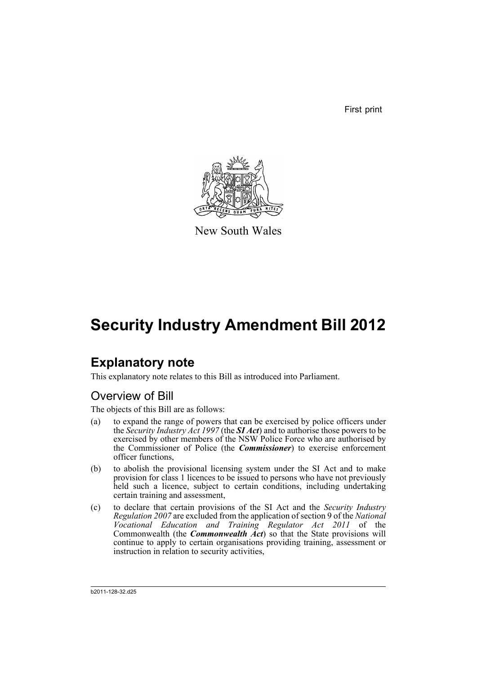First print



New South Wales

# **Security Industry Amendment Bill 2012**

# **Explanatory note**

This explanatory note relates to this Bill as introduced into Parliament.

# Overview of Bill

The objects of this Bill are as follows:

- (a) to expand the range of powers that can be exercised by police officers under the *Security Industry Act 1997* (the *SI Act*) and to authorise those powers to be exercised by other members of the NSW Police Force who are authorised by the Commissioner of Police (the *Commissioner*) to exercise enforcement officer functions,
- (b) to abolish the provisional licensing system under the SI Act and to make provision for class 1 licences to be issued to persons who have not previously held such a licence, subject to certain conditions, including undertaking certain training and assessment,
- (c) to declare that certain provisions of the SI Act and the *Security Industry Regulation 2007* are excluded from the application of section 9 of the *National Vocational Education and Training Regulator Act 2011* of the Commonwealth (the *Commonwealth Act*) so that the State provisions will continue to apply to certain organisations providing training, assessment or instruction in relation to security activities,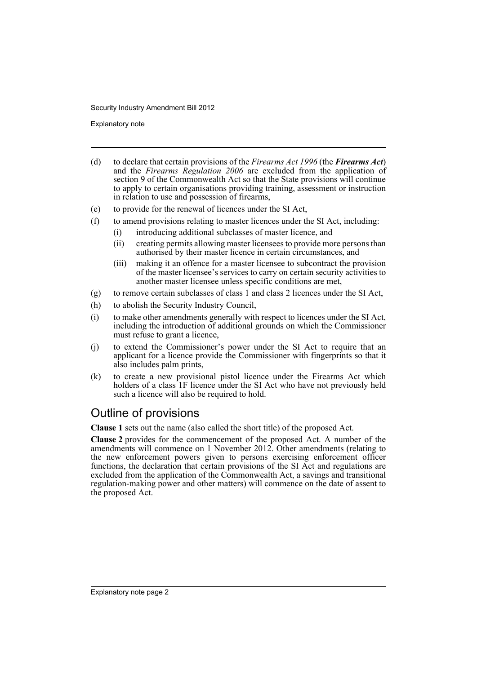Explanatory note

- (d) to declare that certain provisions of the *Firearms Act 1996* (the *Firearms Act*) and the *Firearms Regulation 2006* are excluded from the application of section 9 of the Commonwealth Act so that the State provisions will continue to apply to certain organisations providing training, assessment or instruction in relation to use and possession of firearms,
- (e) to provide for the renewal of licences under the SI Act,
- (f) to amend provisions relating to master licences under the SI Act, including:
	- (i) introducing additional subclasses of master licence, and
	- (ii) creating permits allowing master licensees to provide more persons than authorised by their master licence in certain circumstances, and
	- (iii) making it an offence for a master licensee to subcontract the provision of the master licensee's services to carry on certain security activities to another master licensee unless specific conditions are met,
- (g) to remove certain subclasses of class 1 and class 2 licences under the SI Act,
- (h) to abolish the Security Industry Council,
- (i) to make other amendments generally with respect to licences under the SI Act, including the introduction of additional grounds on which the Commissioner must refuse to grant a licence,
- (j) to extend the Commissioner's power under the SI Act to require that an applicant for a licence provide the Commissioner with fingerprints so that it also includes palm prints,
- (k) to create a new provisional pistol licence under the Firearms Act which holders of a class 1F licence under the SI Act who have not previously held such a licence will also be required to hold.

# Outline of provisions

**Clause 1** sets out the name (also called the short title) of the proposed Act.

**Clause 2** provides for the commencement of the proposed Act. A number of the amendments will commence on 1 November 2012. Other amendments (relating to the new enforcement powers given to persons exercising enforcement officer functions, the declaration that certain provisions of the SI Act and regulations are excluded from the application of the Commonwealth Act, a savings and transitional regulation-making power and other matters) will commence on the date of assent to the proposed Act.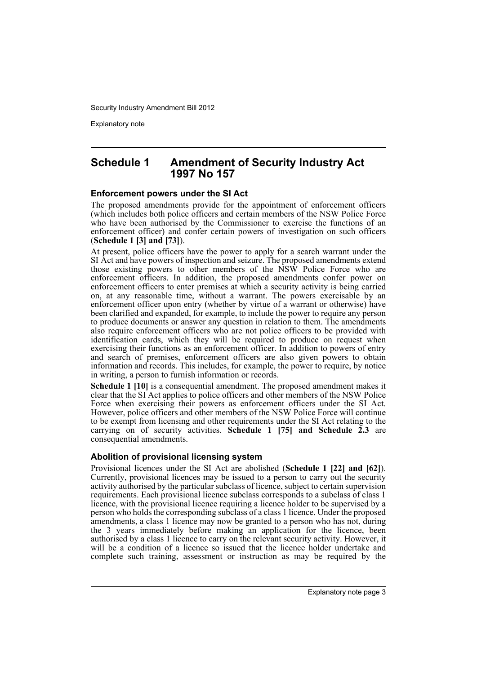Explanatory note

### **Schedule 1 Amendment of Security Industry Act 1997 No 157**

### **Enforcement powers under the SI Act**

The proposed amendments provide for the appointment of enforcement officers (which includes both police officers and certain members of the NSW Police Force who have been authorised by the Commissioner to exercise the functions of an enforcement officer) and confer certain powers of investigation on such officers (**Schedule 1 [3] and [73]**).

At present, police officers have the power to apply for a search warrant under the SI Act and have powers of inspection and seizure. The proposed amendments extend those existing powers to other members of the NSW Police Force who are enforcement officers. In addition, the proposed amendments confer power on enforcement officers to enter premises at which a security activity is being carried on, at any reasonable time, without a warrant. The powers exercisable by an enforcement officer upon entry (whether by virtue of a warrant or otherwise) have been clarified and expanded, for example, to include the power to require any person to produce documents or answer any question in relation to them. The amendments also require enforcement officers who are not police officers to be provided with identification cards, which they will be required to produce on request when exercising their functions as an enforcement officer. In addition to powers of entry and search of premises, enforcement officers are also given powers to obtain information and records. This includes, for example, the power to require, by notice in writing, a person to furnish information or records.

**Schedule 1 [10]** is a consequential amendment. The proposed amendment makes it clear that the SI Act applies to police officers and other members of the NSW Police Force when exercising their powers as enforcement officers under the SI Act. However, police officers and other members of the NSW Police Force will continue to be exempt from licensing and other requirements under the SI Act relating to the carrying on of security activities. **Schedule 1 [75] and Schedule 2.3** are consequential amendments.

### **Abolition of provisional licensing system**

Provisional licences under the SI Act are abolished (**Schedule 1 [22] and [62]**). Currently, provisional licences may be issued to a person to carry out the security activity authorised by the particular subclass of licence, subject to certain supervision requirements. Each provisional licence subclass corresponds to a subclass of class 1 licence, with the provisional licence requiring a licence holder to be supervised by a person who holds the corresponding subclass of a class 1 licence. Under the proposed amendments, a class 1 licence may now be granted to a person who has not, during the 3 years immediately before making an application for the licence, been authorised by a class 1 licence to carry on the relevant security activity. However, it will be a condition of a licence so issued that the licence holder undertake and complete such training, assessment or instruction as may be required by the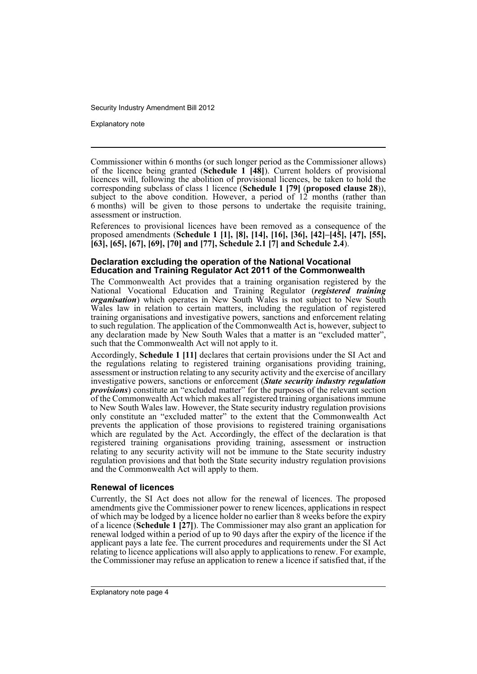Explanatory note

Commissioner within 6 months (or such longer period as the Commissioner allows) of the licence being granted (**Schedule 1 [48]**). Current holders of provisional licences will, following the abolition of provisional licences, be taken to hold the corresponding subclass of class 1 licence (**Schedule 1 [79]** (**proposed clause 28**)), subject to the above condition. However, a period of 12 months (rather than 6 months) will be given to those persons to undertake the requisite training, assessment or instruction.

References to provisional licences have been removed as a consequence of the proposed amendments (**Schedule 1 [1], [8], [14], [16], [36], [42]–[45], [47], [55], [63], [65], [67], [69], [70] and [77], Schedule 2.1 [7] and Schedule 2.4**).

### **Declaration excluding the operation of the National Vocational Education and Training Regulator Act 2011 of the Commonwealth**

The Commonwealth Act provides that a training organisation registered by the National Vocational Education and Training Regulator (*registered training organisation*) which operates in New South Wales is not subject to New South Wales law in relation to certain matters, including the regulation of registered training organisations and investigative powers, sanctions and enforcement relating to such regulation. The application of the Commonwealth Act is, however, subject to any declaration made by New South Wales that a matter is an "excluded matter", such that the Commonwealth Act will not apply to it.

Accordingly, **Schedule 1 [11]** declares that certain provisions under the SI Act and the regulations relating to registered training organisations providing training, assessment or instruction relating to any security activity and the exercise of ancillary investigative powers, sanctions or enforcement (*State security industry regulation provisions*) constitute an "excluded matter" for the purposes of the relevant section of the Commonwealth Act which makes all registered training organisations immune to New South Wales law. However, the State security industry regulation provisions only constitute an "excluded matter" to the extent that the Commonwealth Act prevents the application of those provisions to registered training organisations which are regulated by the Act. Accordingly, the effect of the declaration is that registered training organisations providing training, assessment or instruction relating to any security activity will not be immune to the State security industry regulation provisions and that both the State security industry regulation provisions and the Commonwealth Act will apply to them.

### **Renewal of licences**

Currently, the SI Act does not allow for the renewal of licences. The proposed amendments give the Commissioner power to renew licences, applications in respect of which may be lodged by a licence holder no earlier than 8 weeks before the expiry of a licence (**Schedule 1 [27]**). The Commissioner may also grant an application for renewal lodged within a period of up to 90 days after the expiry of the licence if the applicant pays a late fee. The current procedures and requirements under the SI Act relating to licence applications will also apply to applications to renew. For example, the Commissioner may refuse an application to renew a licence if satisfied that, if the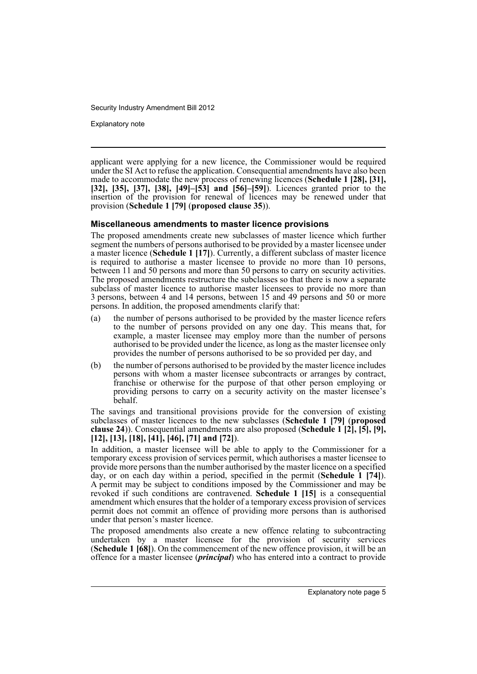Explanatory note

applicant were applying for a new licence, the Commissioner would be required under the SI Act to refuse the application. Consequential amendments have also been made to accommodate the new process of renewing licences (**Schedule 1 [28], [31], [32], [35], [37], [38], [49]–[53] and [56]–[59]**). Licences granted prior to the insertion of the provision for renewal of licences may be renewed under that provision (**Schedule 1 [79]** (**proposed clause 35**)).

### **Miscellaneous amendments to master licence provisions**

The proposed amendments create new subclasses of master licence which further segment the numbers of persons authorised to be provided by a master licensee under a master licence (**Schedule 1 [17]**). Currently, a different subclass of master licence is required to authorise a master licensee to provide no more than 10 persons, between 11 and 50 persons and more than 50 persons to carry on security activities. The proposed amendments restructure the subclasses so that there is now a separate subclass of master licence to authorise master licensees to provide no more than 3 persons, between 4 and 14 persons, between 15 and 49 persons and 50 or more persons. In addition, the proposed amendments clarify that:

- (a) the number of persons authorised to be provided by the master licence refers to the number of persons provided on any one day. This means that, for example, a master licensee may employ more than the number of persons authorised to be provided under the licence, as long as the master licensee only provides the number of persons authorised to be so provided per day, and
- (b) the number of persons authorised to be provided by the master licence includes persons with whom a master licensee subcontracts or arranges by contract, franchise or otherwise for the purpose of that other person employing or providing persons to carry on a security activity on the master licensee's behalf.

The savings and transitional provisions provide for the conversion of existing subclasses of master licences to the new subclasses (**Schedule 1 [79]** (**proposed clause 24**)). Consequential amendments are also proposed (**Schedule 1 [2], [5], [9], [12], [13], [18], [41], [46], [71] and [72]**).

In addition, a master licensee will be able to apply to the Commissioner for a temporary excess provision of services permit, which authorises a master licensee to provide more persons than the number authorised by the master licence on a specified day, or on each day within a period, specified in the permit (**Schedule 1 [74]**). A permit may be subject to conditions imposed by the Commissioner and may be revoked if such conditions are contravened. **Schedule 1 [15]** is a consequential amendment which ensures that the holder of a temporary excess provision of services permit does not commit an offence of providing more persons than is authorised under that person's master licence.

The proposed amendments also create a new offence relating to subcontracting undertaken by a master licensee for the provision of security services (**Schedule 1 [68]**). On the commencement of the new offence provision, it will be an offence for a master licensee (*principal*) who has entered into a contract to provide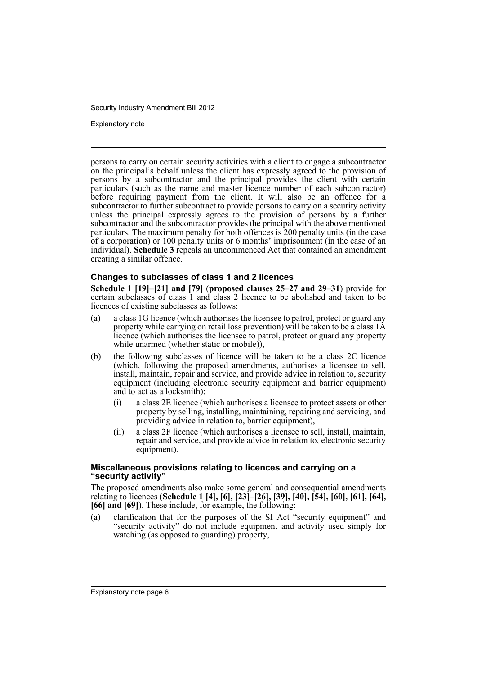Explanatory note

persons to carry on certain security activities with a client to engage a subcontractor on the principal's behalf unless the client has expressly agreed to the provision of persons by a subcontractor and the principal provides the client with certain particulars (such as the name and master licence number of each subcontractor) before requiring payment from the client. It will also be an offence for a subcontractor to further subcontract to provide persons to carry on a security activity unless the principal expressly agrees to the provision of persons by a further subcontractor and the subcontractor provides the principal with the above mentioned particulars. The maximum penalty for both offences is 200 penalty units (in the case of a corporation) or 100 penalty units or 6 months' imprisonment (in the case of an individual). **Schedule 3** repeals an uncommenced Act that contained an amendment creating a similar offence.

### **Changes to subclasses of class 1 and 2 licences**

**Schedule 1 [19]–[21] and [79]** (**proposed clauses 25–27 and 29–31**) provide for certain subclasses of class 1 and class 2 licence to be abolished and taken to be licences of existing subclasses as follows:

- (a) a class 1G licence (which authorises the licensee to patrol, protect or guard any property while carrying on retail loss prevention) will be taken to be a class 1A licence (which authorises the licensee to patrol, protect or guard any property while unarmed (whether static or mobile)),
- (b) the following subclasses of licence will be taken to be a class 2C licence (which, following the proposed amendments, authorises a licensee to sell, install, maintain, repair and service, and provide advice in relation to, security equipment (including electronic security equipment and barrier equipment) and to act as a locksmith):
	- (i) a class 2E licence (which authorises a licensee to protect assets or other property by selling, installing, maintaining, repairing and servicing, and providing advice in relation to, barrier equipment),
	- (ii) a class 2F licence (which authorises a licensee to sell, install, maintain, repair and service, and provide advice in relation to, electronic security equipment).

### **Miscellaneous provisions relating to licences and carrying on a "security activity"**

The proposed amendments also make some general and consequential amendments relating to licences (**Schedule 1 [4], [6], [23]–[26], [39], [40], [54], [60], [61], [64], [66] and [69]**). These include, for example, the following:

(a) clarification that for the purposes of the SI Act "security equipment" and "security activity" do not include equipment and activity used simply for watching (as opposed to guarding) property,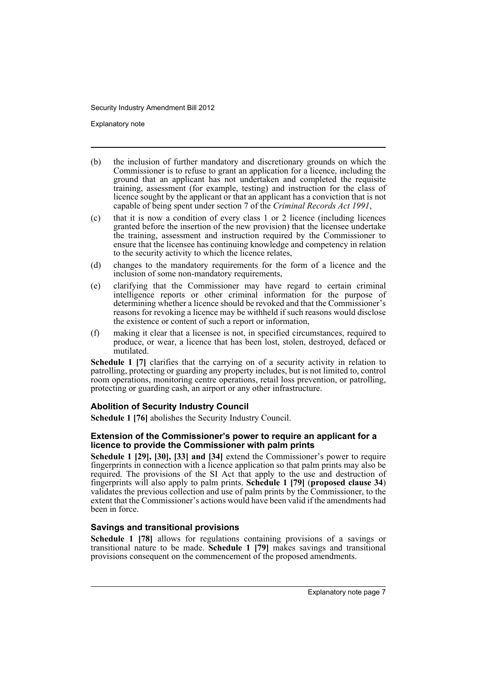Explanatory note

- (b) the inclusion of further mandatory and discretionary grounds on which the Commissioner is to refuse to grant an application for a licence, including the ground that an applicant has not undertaken and completed the requisite training, assessment (for example, testing) and instruction for the class of licence sought by the applicant or that an applicant has a conviction that is not capable of being spent under section 7 of the *Criminal Records Act 1991*,
- (c) that it is now a condition of every class 1 or 2 licence (including licences granted before the insertion of the new provision) that the licensee undertake the training, assessment and instruction required by the Commissioner to ensure that the licensee has continuing knowledge and competency in relation to the security activity to which the licence relates,
- (d) changes to the mandatory requirements for the form of a licence and the inclusion of some non-mandatory requirements,
- (e) clarifying that the Commissioner may have regard to certain criminal intelligence reports or other criminal information for the purpose of determining whether a licence should be revoked and that the Commissioner's reasons for revoking a licence may be withheld if such reasons would disclose the existence or content of such a report or information,
- (f) making it clear that a licensee is not, in specified circumstances, required to produce, or wear, a licence that has been lost, stolen, destroyed, defaced or mutilated.

**Schedule 1 [7]** clarifies that the carrying on of a security activity in relation to patrolling, protecting or guarding any property includes, but is not limited to, control room operations, monitoring centre operations, retail loss prevention, or patrolling, protecting or guarding cash, an airport or any other infrastructure.

### **Abolition of Security Industry Council**

**Schedule 1 [76]** abolishes the Security Industry Council.

### **Extension of the Commissioner's power to require an applicant for a licence to provide the Commissioner with palm prints**

**Schedule 1 [29], [30], [33] and [34]** extend the Commissioner's power to require fingerprints in connection with a licence application so that palm prints may also be required. The provisions of the SI Act that apply to the use and destruction of fingerprints will also apply to palm prints. **Schedule 1 [79]** (**proposed clause 34**) validates the previous collection and use of palm prints by the Commissioner, to the extent that the Commissioner's actions would have been valid if the amendments had been in force.

### **Savings and transitional provisions**

**Schedule 1 [78]** allows for regulations containing provisions of a savings or transitional nature to be made. **Schedule 1 [79]** makes savings and transitional provisions consequent on the commencement of the proposed amendments.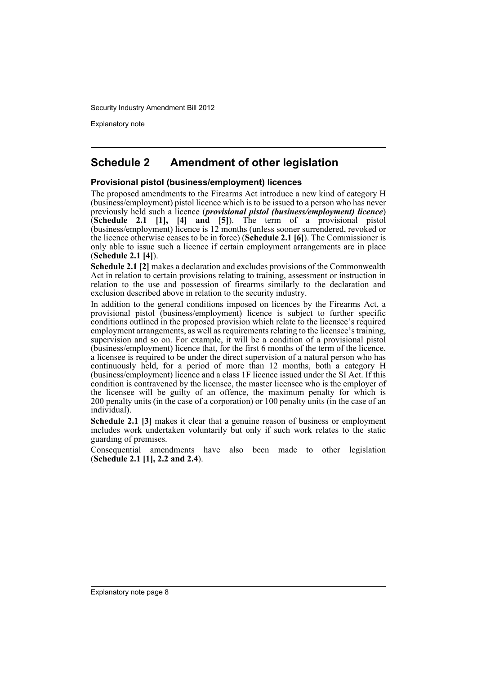Explanatory note

# **Schedule 2 Amendment of other legislation**

### **Provisional pistol (business/employment) licences**

The proposed amendments to the Firearms Act introduce a new kind of category H (business/employment) pistol licence which is to be issued to a person who has never previously held such a licence (*provisional pistol (business/employment) licence*) (**Schedule 2.1 [1], [4] and [5]**). The term of a provisional pistol (business/employment) licence is 12 months (unless sooner surrendered, revoked or the licence otherwise ceases to be in force) (**Schedule 2.1 [6]**). The Commissioner is only able to issue such a licence if certain employment arrangements are in place (**Schedule 2.1 [4]**).

**Schedule 2.1 [2]** makes a declaration and excludes provisions of the Commonwealth Act in relation to certain provisions relating to training, assessment or instruction in relation to the use and possession of firearms similarly to the declaration and exclusion described above in relation to the security industry.

In addition to the general conditions imposed on licences by the Firearms Act, a provisional pistol (business/employment) licence is subject to further specific conditions outlined in the proposed provision which relate to the licensee's required employment arrangements, as well as requirements relating to the licensee's training, supervision and so on. For example, it will be a condition of a provisional pistol (business/employment) licence that, for the first 6 months of the term of the licence, a licensee is required to be under the direct supervision of a natural person who has continuously held, for a period of more than 12 months, both a category H (business/employment) licence and a class 1F licence issued under the SI Act. If this condition is contravened by the licensee, the master licensee who is the employer of the licensee will be guilty of an offence, the maximum penalty for which is 200 penalty units (in the case of a corporation) or 100 penalty units (in the case of an individual).

**Schedule 2.1 [3]** makes it clear that a genuine reason of business or employment includes work undertaken voluntarily but only if such work relates to the static guarding of premises.

Consequential amendments have also been made to other legislation (**Schedule 2.1 [1], 2.2 and 2.4**).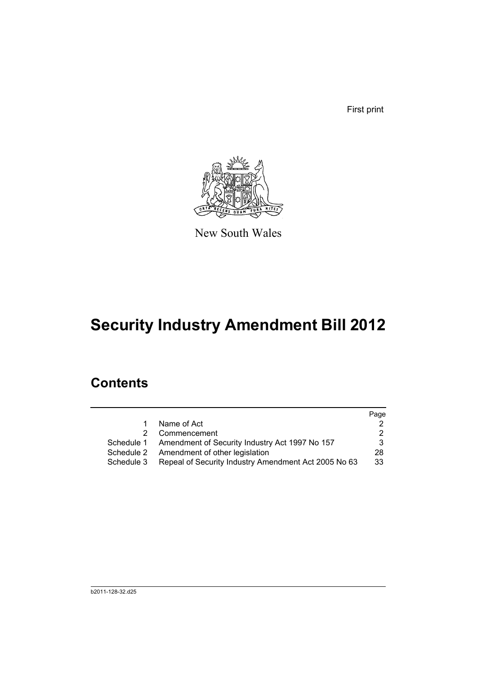First print



New South Wales

# **Security Industry Amendment Bill 2012**

# **Contents**

|            |                                                           | Page |
|------------|-----------------------------------------------------------|------|
| 1.         | Name of Act                                               |      |
|            | 2 Commencement                                            |      |
|            | Schedule 1 Amendment of Security Industry Act 1997 No 157 | 3    |
|            | Schedule 2 Amendment of other legislation                 | 28   |
| Schedule 3 | Repeal of Security Industry Amendment Act 2005 No 63      | 33   |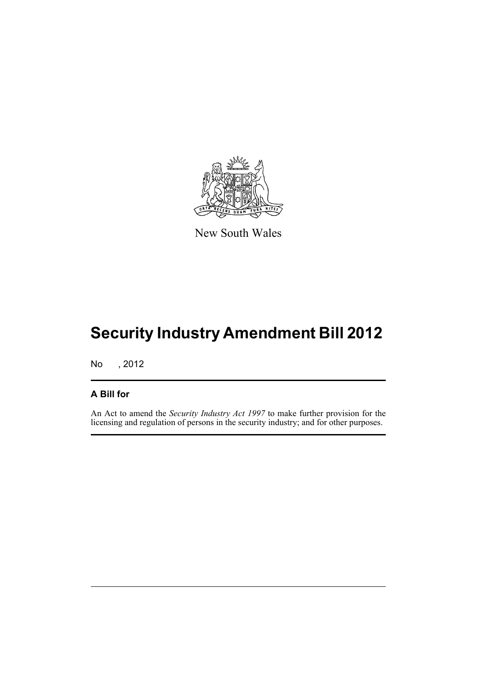

New South Wales

# **Security Industry Amendment Bill 2012**

No , 2012

### **A Bill for**

An Act to amend the *Security Industry Act 1997* to make further provision for the licensing and regulation of persons in the security industry; and for other purposes.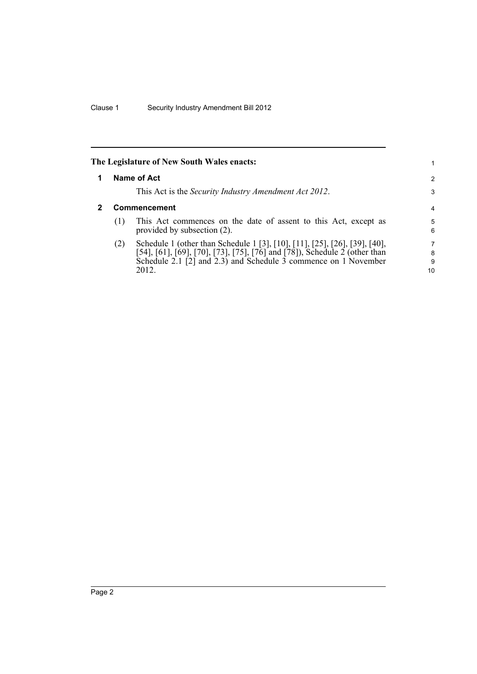<span id="page-11-1"></span><span id="page-11-0"></span>

|     | The Legislature of New South Wales enacts:                                                                                                                                                                                           |                   |
|-----|--------------------------------------------------------------------------------------------------------------------------------------------------------------------------------------------------------------------------------------|-------------------|
|     | Name of Act                                                                                                                                                                                                                          | $\overline{2}$    |
|     | This Act is the <i>Security Industry Amendment Act 2012</i> .                                                                                                                                                                        | 3                 |
|     | <b>Commencement</b>                                                                                                                                                                                                                  | 4                 |
| (1) | This Act commences on the date of assent to this Act, except as<br>provided by subsection (2).                                                                                                                                       | 5<br>6            |
| (2) | Schedule 1 (other than Schedule 1 [3], [10], [11], [25], [26], [39], [40],<br>[54], [61], [69], [70], [73], [75], [76] and [78]), Schedule 2 (other than<br>Schedule 2.1 [2] and 2.3) and Schedule 3 commence on 1 November<br>2012. | 7<br>8<br>9<br>10 |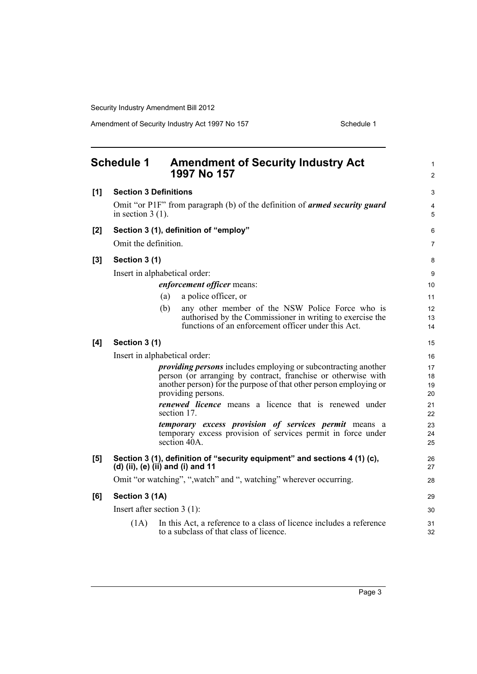<span id="page-12-0"></span>

|     | <b>Schedule 1</b>    | <b>Amendment of Security Industry Act</b><br>1997 No 157                                                                                                                                                                          | 1<br>$\overline{c}$  |
|-----|----------------------|-----------------------------------------------------------------------------------------------------------------------------------------------------------------------------------------------------------------------------------|----------------------|
| [1] |                      | <b>Section 3 Definitions</b>                                                                                                                                                                                                      | 3                    |
|     | in section $3(1)$ .  | Omit "or P1F" from paragraph (b) of the definition of <i>armed security guard</i>                                                                                                                                                 | 4<br>5               |
| [2] |                      | Section 3 (1), definition of "employ"                                                                                                                                                                                             | 6                    |
|     | Omit the definition. |                                                                                                                                                                                                                                   | 7                    |
| [3] | Section 3 (1)        |                                                                                                                                                                                                                                   | 8                    |
|     |                      | Insert in alphabetical order:                                                                                                                                                                                                     | 9                    |
|     |                      | enforcement officer means:                                                                                                                                                                                                        | 10                   |
|     |                      | a police officer, or<br>(a)                                                                                                                                                                                                       | 11                   |
|     |                      | (b)<br>any other member of the NSW Police Force who is                                                                                                                                                                            | 12                   |
|     |                      | authorised by the Commissioner in writing to exercise the<br>functions of an enforcement officer under this Act.                                                                                                                  | 13<br>14             |
| [4] | Section 3 (1)        |                                                                                                                                                                                                                                   | 15                   |
|     |                      | Insert in alphabetical order:                                                                                                                                                                                                     | 16                   |
|     |                      | <i>providing persons</i> includes employing or subcontracting another<br>person (or arranging by contract, franchise or otherwise with<br>another person) for the purpose of that other person employing or<br>providing persons. | 17<br>18<br>19<br>20 |
|     |                      | <b>renewed licence</b> means a licence that is renewed under<br>section 17.                                                                                                                                                       | 21<br>22             |
|     |                      | temporary excess provision of services permit means a<br>temporary excess provision of services permit in force under<br>section 40A.                                                                                             | 23<br>24<br>25       |
| [5] |                      | Section 3 (1), definition of "security equipment" and sections 4 (1) (c),<br>(d) (ii), (e) (ii) and (i) and 11                                                                                                                    | 26<br>27             |
|     |                      | Omit "or watching", ",watch" and ", watching" wherever occurring.                                                                                                                                                                 | 28                   |
| [6] | Section 3 (1A)       |                                                                                                                                                                                                                                   | 29                   |
|     |                      | Insert after section $3(1)$ :                                                                                                                                                                                                     | 30                   |
|     | (1A)                 | In this Act, a reference to a class of licence includes a reference<br>to a subclass of that class of licence.                                                                                                                    | 31<br>32             |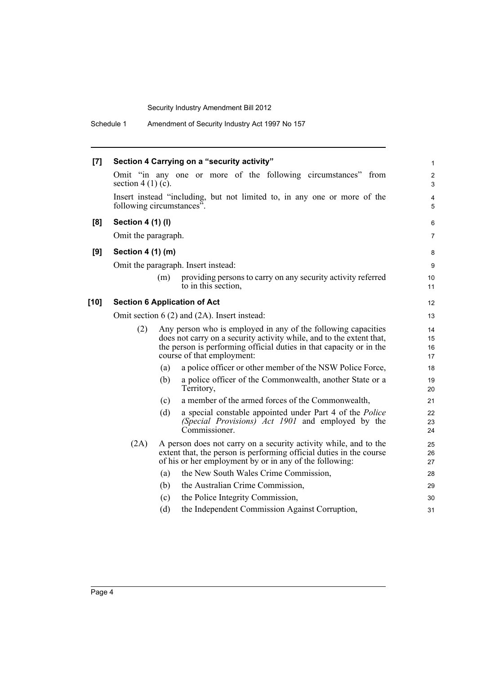| $[7]$  |                           |     | Section 4 Carrying on a "security activity"                                                                                                                                                                                                | $\mathbf{1}$         |
|--------|---------------------------|-----|--------------------------------------------------------------------------------------------------------------------------------------------------------------------------------------------------------------------------------------------|----------------------|
|        | section $4(1)(c)$ .       |     | Omit "in any one or more of the following circumstances" from                                                                                                                                                                              | $\overline{2}$<br>3  |
|        | following circumstances". |     | Insert instead "including, but not limited to, in any one or more of the                                                                                                                                                                   | $\overline{4}$<br>5  |
| [8]    | <b>Section 4 (1) (I)</b>  |     |                                                                                                                                                                                                                                            | 6                    |
|        | Omit the paragraph.       |     |                                                                                                                                                                                                                                            | $\overline{7}$       |
| [9]    | Section 4 (1) (m)         |     |                                                                                                                                                                                                                                            | 8                    |
|        |                           |     | Omit the paragraph. Insert instead:                                                                                                                                                                                                        | 9                    |
|        |                           | (m) | providing persons to carry on any security activity referred<br>to in this section,                                                                                                                                                        | 10<br>11             |
| $[10]$ |                           |     | <b>Section 6 Application of Act</b>                                                                                                                                                                                                        | 12                   |
|        |                           |     | Omit section $6(2)$ and $(2A)$ . Insert instead:                                                                                                                                                                                           | 13                   |
|        | (2)                       |     | Any person who is employed in any of the following capacities<br>does not carry on a security activity while, and to the extent that,<br>the person is performing official duties in that capacity or in the<br>course of that employment: | 14<br>15<br>16<br>17 |
|        |                           | (a) | a police officer or other member of the NSW Police Force,                                                                                                                                                                                  | 18                   |
|        |                           | (b) | a police officer of the Commonwealth, another State or a<br>Territory,                                                                                                                                                                     | 19<br>20             |
|        |                           | (c) | a member of the armed forces of the Commonwealth,                                                                                                                                                                                          | 21                   |
|        |                           | (d) | a special constable appointed under Part 4 of the Police<br>(Special Provisions) Act 1901 and employed by the<br>Commissioner.                                                                                                             | 22<br>23<br>24       |
|        | (2A)                      |     | A person does not carry on a security activity while, and to the<br>extent that, the person is performing official duties in the course<br>of his or her employment by or in any of the following:                                         | 25<br>26<br>27       |
|        |                           | (a) | the New South Wales Crime Commission,                                                                                                                                                                                                      | 28                   |
|        |                           | (b) | the Australian Crime Commission,                                                                                                                                                                                                           | 29                   |
|        |                           | (c) | the Police Integrity Commission,                                                                                                                                                                                                           | 30                   |
|        |                           | (d) | the Independent Commission Against Corruption,                                                                                                                                                                                             | 31                   |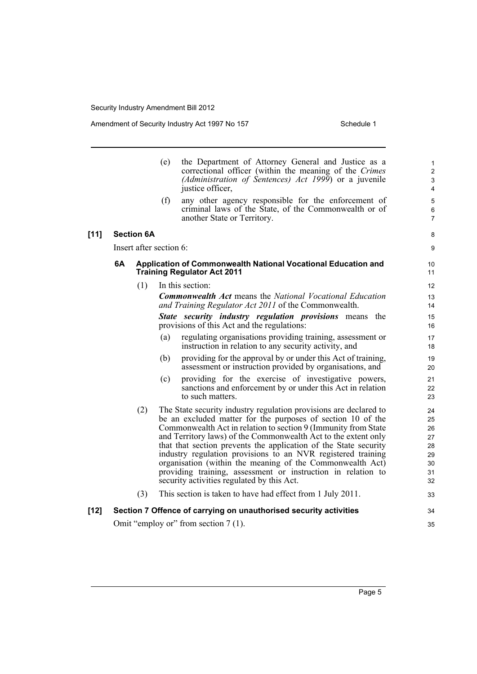$[11]$ 

|        |    |                         | (e) | the Department of Attorney General and Justice as a<br>correctional officer (within the meaning of the Crimes<br>(Administration of Sentences) Act 1999) or a juvenile<br>justice officer,                                                                                                                                                                                                                                                                                                                                                                                          | $\mathbf{1}$<br>$\overline{2}$<br>$\mathbf{3}$<br>4 |
|--------|----|-------------------------|-----|-------------------------------------------------------------------------------------------------------------------------------------------------------------------------------------------------------------------------------------------------------------------------------------------------------------------------------------------------------------------------------------------------------------------------------------------------------------------------------------------------------------------------------------------------------------------------------------|-----------------------------------------------------|
|        |    |                         | (f) | any other agency responsible for the enforcement of<br>criminal laws of the State, of the Commonwealth or of<br>another State or Territory.                                                                                                                                                                                                                                                                                                                                                                                                                                         | 5<br>$\,6\,$<br>$\overline{7}$                      |
| $[11]$ |    | <b>Section 6A</b>       |     |                                                                                                                                                                                                                                                                                                                                                                                                                                                                                                                                                                                     | 8                                                   |
|        |    | Insert after section 6: |     |                                                                                                                                                                                                                                                                                                                                                                                                                                                                                                                                                                                     | 9                                                   |
|        | 6A |                         |     | Application of Commonwealth National Vocational Education and<br><b>Training Regulator Act 2011</b>                                                                                                                                                                                                                                                                                                                                                                                                                                                                                 | 10<br>11                                            |
|        |    | (1)                     |     | In this section:                                                                                                                                                                                                                                                                                                                                                                                                                                                                                                                                                                    | 12                                                  |
|        |    |                         |     | <b>Commonwealth Act</b> means the National Vocational Education<br>and Training Regulator Act 2011 of the Commonwealth.                                                                                                                                                                                                                                                                                                                                                                                                                                                             | 13<br>14                                            |
|        |    |                         |     | <b>State security industry regulation provisions means the</b><br>provisions of this Act and the regulations:                                                                                                                                                                                                                                                                                                                                                                                                                                                                       | 15<br>16                                            |
|        |    |                         | (a) | regulating organisations providing training, assessment or<br>instruction in relation to any security activity, and                                                                                                                                                                                                                                                                                                                                                                                                                                                                 | 17<br>18                                            |
|        |    |                         | (b) | providing for the approval by or under this Act of training,<br>assessment or instruction provided by organisations, and                                                                                                                                                                                                                                                                                                                                                                                                                                                            | 19<br>20                                            |
|        |    |                         | (c) | providing for the exercise of investigative powers,<br>sanctions and enforcement by or under this Act in relation<br>to such matters.                                                                                                                                                                                                                                                                                                                                                                                                                                               | 21<br>22<br>23                                      |
|        |    | (2)                     |     | The State security industry regulation provisions are declared to<br>be an excluded matter for the purposes of section 10 of the<br>Commonwealth Act in relation to section 9 (Immunity from State<br>and Territory laws) of the Commonwealth Act to the extent only<br>that that section prevents the application of the State security<br>industry regulation provisions to an NVR registered training<br>organisation (within the meaning of the Commonwealth Act)<br>providing training, assessment or instruction in relation to<br>security activities regulated by this Act. | 24<br>25<br>26<br>27<br>28<br>29<br>30<br>31<br>32  |
|        |    | (3)                     |     | This section is taken to have had effect from 1 July 2011.                                                                                                                                                                                                                                                                                                                                                                                                                                                                                                                          | 33                                                  |
| [12]   |    |                         |     | Section 7 Offence of carrying on unauthorised security activities                                                                                                                                                                                                                                                                                                                                                                                                                                                                                                                   | 34                                                  |
|        |    |                         |     | Omit "employ or" from section 7 (1).                                                                                                                                                                                                                                                                                                                                                                                                                                                                                                                                                | 35                                                  |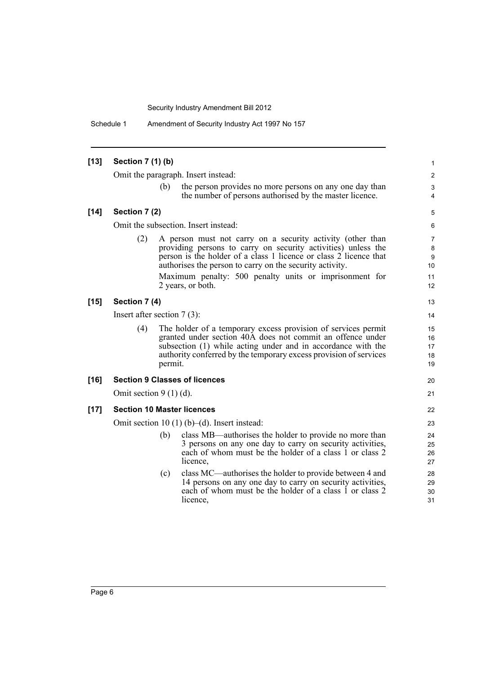Schedule 1 Amendment of Security Industry Act 1997 No 157

| $[13]$ | Section 7 (1) (b)                   |         |                                                                                                                                                                                                                                                                                                                                             | 1                             |  |  |  |
|--------|-------------------------------------|---------|---------------------------------------------------------------------------------------------------------------------------------------------------------------------------------------------------------------------------------------------------------------------------------------------------------------------------------------------|-------------------------------|--|--|--|
|        | Omit the paragraph. Insert instead: |         |                                                                                                                                                                                                                                                                                                                                             |                               |  |  |  |
|        |                                     | (b)     | the person provides no more persons on any one day than<br>the number of persons authorised by the master licence.                                                                                                                                                                                                                          | 3<br>4                        |  |  |  |
| $[14]$ | Section 7 (2)                       |         |                                                                                                                                                                                                                                                                                                                                             | 5                             |  |  |  |
|        |                                     |         | Omit the subsection. Insert instead:                                                                                                                                                                                                                                                                                                        | 6                             |  |  |  |
|        | (2)                                 |         | A person must not carry on a security activity (other than<br>providing persons to carry on security activities) unless the<br>person is the holder of a class 1 licence or class 2 licence that<br>authorises the person to carry on the security activity.<br>Maximum penalty: 500 penalty units or imprisonment for<br>2 years, or both. | 7<br>8<br>9<br>10<br>11<br>12 |  |  |  |
| $[15]$ | Section 7 (4)                       |         |                                                                                                                                                                                                                                                                                                                                             | 13                            |  |  |  |
|        | Insert after section $7(3)$ :       |         |                                                                                                                                                                                                                                                                                                                                             | 14                            |  |  |  |
|        | (4)                                 | permit. | The holder of a temporary excess provision of services permit<br>granted under section 40A does not commit an offence under<br>subsection (1) while acting under and in accordance with the<br>authority conferred by the temporary excess provision of services                                                                            | 15<br>16<br>17<br>18<br>19    |  |  |  |
| $[16]$ |                                     |         | <b>Section 9 Classes of licences</b>                                                                                                                                                                                                                                                                                                        | 20                            |  |  |  |
|        | Omit section $9(1)(d)$ .            |         |                                                                                                                                                                                                                                                                                                                                             | 21                            |  |  |  |
| $[17]$ |                                     |         | <b>Section 10 Master licences</b>                                                                                                                                                                                                                                                                                                           | 22                            |  |  |  |
|        |                                     |         | Omit section 10 $(1)$ (b)–(d). Insert instead:                                                                                                                                                                                                                                                                                              | 23                            |  |  |  |
|        |                                     | (b)     | class MB—authorises the holder to provide no more than<br>3 persons on any one day to carry on security activities,<br>each of whom must be the holder of a class 1 or class 2<br>licence,                                                                                                                                                  | 24<br>25<br>26<br>27          |  |  |  |
|        |                                     | (c)     | class MC—authorises the holder to provide between 4 and<br>14 persons on any one day to carry on security activities,<br>each of whom must be the holder of a class 1 or class 2<br>licence,                                                                                                                                                | 28<br>29<br>30<br>31          |  |  |  |
|        |                                     |         |                                                                                                                                                                                                                                                                                                                                             |                               |  |  |  |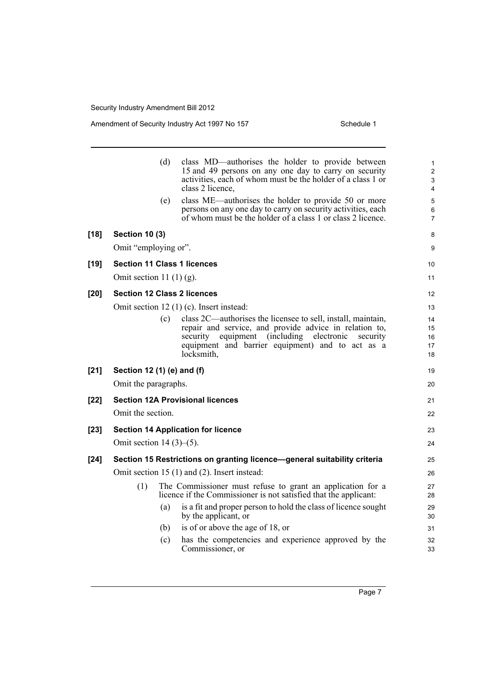Amendment of Security Industry Act 1997 No 157 Schedule 1

|        |                                    | (d) | class MD—authorises the holder to provide between<br>15 and 49 persons on any one day to carry on security<br>activities, each of whom must be the holder of a class 1 or<br>class 2 licence, | 1<br>$\overline{2}$<br>3<br>$\overline{4}$ |
|--------|------------------------------------|-----|-----------------------------------------------------------------------------------------------------------------------------------------------------------------------------------------------|--------------------------------------------|
|        |                                    | (e) | class ME—authorises the holder to provide 50 or more<br>persons on any one day to carry on security activities, each<br>of whom must be the holder of a class 1 or class 2 licence.           | 5<br>6<br>$\overline{7}$                   |
| $[18]$ | <b>Section 10 (3)</b>              |     |                                                                                                                                                                                               | 8                                          |
|        | Omit "employing or".               |     |                                                                                                                                                                                               | 9                                          |
| $[19]$ | <b>Section 11 Class 1 licences</b> |     |                                                                                                                                                                                               | 10 <sup>°</sup>                            |
|        | Omit section 11 $(1)$ $(g)$ .      |     |                                                                                                                                                                                               | 11                                         |
| $[20]$ | <b>Section 12 Class 2 licences</b> |     |                                                                                                                                                                                               | 12                                         |
|        |                                    |     | Omit section 12 (1) (c). Insert instead:                                                                                                                                                      | 13                                         |
|        |                                    | (c) | class 2C—authorises the licensee to sell, install, maintain,                                                                                                                                  | 14                                         |
|        |                                    |     | repair and service, and provide advice in relation to,<br>equipment (including electronic<br>security<br>security                                                                             | 15<br>16                                   |
|        |                                    |     | equipment and barrier equipment) and to act as a                                                                                                                                              | 17                                         |
|        |                                    |     | locksmith,                                                                                                                                                                                    | 18                                         |
| $[21]$ | Section 12 (1) (e) and (f)         |     |                                                                                                                                                                                               | 19                                         |
|        | Omit the paragraphs.               |     |                                                                                                                                                                                               | 20                                         |
| $[22]$ |                                    |     | <b>Section 12A Provisional licences</b>                                                                                                                                                       | 21                                         |
|        | Omit the section.                  |     |                                                                                                                                                                                               | 22                                         |
| $[23]$ |                                    |     | <b>Section 14 Application for licence</b>                                                                                                                                                     | 23                                         |
|        | Omit section $14(3)$ – $(5)$ .     |     |                                                                                                                                                                                               | 24                                         |
| $[24]$ |                                    |     | Section 15 Restrictions on granting licence-general suitability criteria                                                                                                                      | 25                                         |
|        |                                    |     | Omit section 15 (1) and (2). Insert instead:                                                                                                                                                  | 26                                         |
|        | (1)                                |     | The Commissioner must refuse to grant an application for a<br>licence if the Commissioner is not satisfied that the applicant:                                                                | 27<br>28                                   |
|        |                                    | (a) | is a fit and proper person to hold the class of licence sought<br>by the applicant, or                                                                                                        | 29<br>30                                   |
|        |                                    | (b) | is of or above the age of 18, or                                                                                                                                                              | 31                                         |
|        |                                    | (c) | has the competencies and experience approved by the<br>Commissioner, or                                                                                                                       | 32<br>33                                   |
|        |                                    |     |                                                                                                                                                                                               |                                            |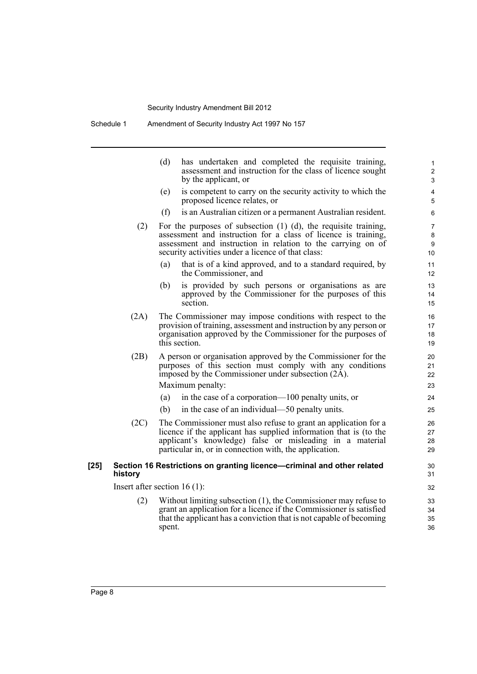|        |         | (d)<br>has undertaken and completed the requisite training,<br>assessment and instruction for the class of licence sought<br>by the applicant, or                                                                                                                | $\mathbf{1}$<br>$\mathbf{2}$<br>3 |
|--------|---------|------------------------------------------------------------------------------------------------------------------------------------------------------------------------------------------------------------------------------------------------------------------|-----------------------------------|
|        |         | is competent to carry on the security activity to which the<br>(e)<br>proposed licence relates, or                                                                                                                                                               | 4<br>5                            |
|        |         | is an Australian citizen or a permanent Australian resident.<br>(f)                                                                                                                                                                                              | 6                                 |
|        | (2)     | For the purposes of subsection $(1)$ $(d)$ , the requisite training,<br>assessment and instruction for a class of licence is training,<br>assessment and instruction in relation to the carrying on of<br>security activities under a licence of that class:     | 7<br>$\bf 8$<br>9<br>10           |
|        |         | that is of a kind approved, and to a standard required, by<br>(a)<br>the Commissioner, and                                                                                                                                                                       | 11<br>12                          |
|        |         | is provided by such persons or organisations as are<br>(b)<br>approved by the Commissioner for the purposes of this<br>section.                                                                                                                                  | 13<br>14<br>15                    |
|        | (2A)    | The Commissioner may impose conditions with respect to the<br>provision of training, assessment and instruction by any person or<br>organisation approved by the Commissioner for the purposes of<br>this section.                                               | 16<br>17<br>18<br>19              |
|        | (2B)    | A person or organisation approved by the Commissioner for the<br>purposes of this section must comply with any conditions<br>imposed by the Commissioner under subsection (2A).<br>Maximum penalty:<br>in the case of a corporation—100 penalty units, or<br>(a) | 20<br>21<br>22<br>23<br>24        |
|        |         | (b)<br>in the case of an individual—50 penalty units.                                                                                                                                                                                                            | 25                                |
|        | (2C)    | The Commissioner must also refuse to grant an application for a<br>licence if the applicant has supplied information that is (to the<br>applicant's knowledge) false or misleading in a material<br>particular in, or in connection with, the application.       | 26<br>27<br>28<br>29              |
| $[25]$ | history | Section 16 Restrictions on granting licence-criminal and other related                                                                                                                                                                                           | 30<br>31                          |
|        |         | Insert after section $16(1)$ :                                                                                                                                                                                                                                   | 32                                |
|        | (2)     | Without limiting subsection $(1)$ , the Commissioner may refuse to<br>grant an application for a licence if the Commissioner is satisfied<br>that the applicant has a conviction that is not capable of becoming<br>spent.                                       | 33<br>34<br>35<br>36              |
|        |         |                                                                                                                                                                                                                                                                  |                                   |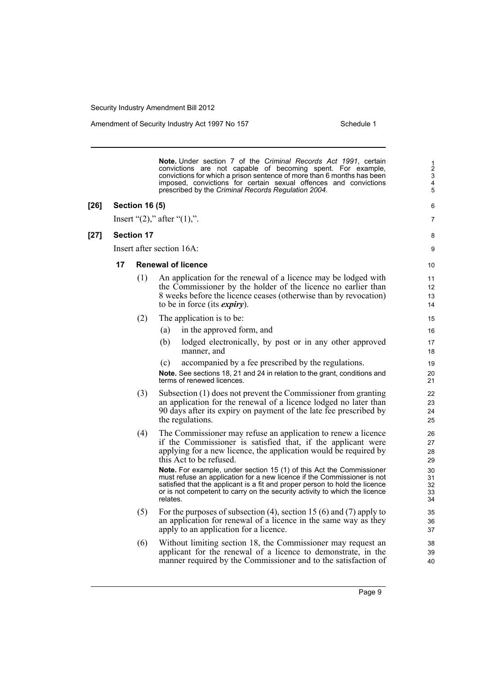Amendment of Security Industry Act 1997 No 157 Schedule 1

**Note.** Under section 7 of the *Criminal Records Act 1991*, certain convictions are not capable of becoming spent. For example, convictions for which a prison sentence of more than 6 months has been imposed, convictions for certain sexual offences and convictions prescribed by the *Criminal Records Regulation 2004*.

### **[26] Section 16 (5)**

Insert " $(2)$ ," after " $(1)$ ,".

### **[27] Section 17**

Insert after section 16A:

### **17 Renewal of licence**

- (1) An application for the renewal of a licence may be lodged with the Commissioner by the holder of the licence no earlier than 8 weeks before the licence ceases (otherwise than by revocation) to be in force (its *expiry*).
- (2) The application is to be:
	- (a) in the approved form, and
	- (b) lodged electronically, by post or in any other approved manner, and
	- (c) accompanied by a fee prescribed by the regulations.

**Note.** See sections 18, 21 and 24 in relation to the grant, conditions and terms of renewed licences.

- (3) Subsection (1) does not prevent the Commissioner from granting an application for the renewal of a licence lodged no later than 90 days after its expiry on payment of the late fee prescribed by the regulations.
- (4) The Commissioner may refuse an application to renew a licence if the Commissioner is satisfied that, if the applicant were applying for a new licence, the application would be required by this Act to be refused.

**Note.** For example, under section 15 (1) of this Act the Commissioner must refuse an application for a new licence if the Commissioner is not satisfied that the applicant is a fit and proper person to hold the licence or is not competent to carry on the security activity to which the licence relates.

- (5) For the purposes of subsection (4), section 15 (6) and (7) apply to an application for renewal of a licence in the same way as they apply to an application for a licence.
- (6) Without limiting section 18, the Commissioner may request an applicant for the renewal of a licence to demonstrate, in the manner required by the Commissioner and to the satisfaction of

Page 9

8 9

10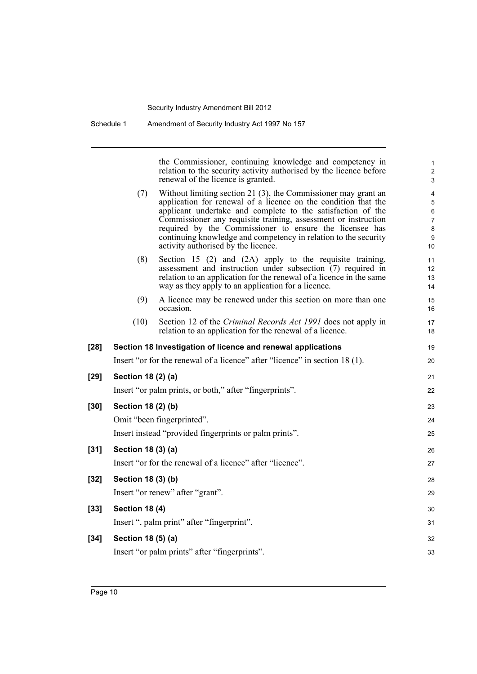the Commissioner, continuing knowledge and competency in relation to the security activity authorised by the licence before renewal of the licence is granted. (7) Without limiting section 21 (3), the Commissioner may grant an application for renewal of a licence on the condition that the applicant undertake and complete to the satisfaction of the Commissioner any requisite training, assessment or instruction required by the Commissioner to ensure the licensee has continuing knowledge and competency in relation to the security activity authorised by the licence. (8) Section 15 (2) and (2A) apply to the requisite training, assessment and instruction under subsection (7) required in relation to an application for the renewal of a licence in the same way as they apply to an application for a licence. (9) A licence may be renewed under this section on more than one occasion. (10) Section 12 of the *Criminal Records Act 1991* does not apply in relation to an application for the renewal of a licence. **[28] Section 18 Investigation of licence and renewal applications** Insert "or for the renewal of a licence" after "licence" in section 18 (1). **[29] Section 18 (2) (a)** Insert "or palm prints, or both," after "fingerprints". **[30] Section 18 (2) (b)** Omit "been fingerprinted". Insert instead "provided fingerprints or palm prints". **[31] Section 18 (3) (a)** Insert "or for the renewal of a licence" after "licence". **[32] Section 18 (3) (b)** Insert "or renew" after "grant". **[33] Section 18 (4)** Insert ", palm print" after "fingerprint". **[34] Section 18 (5) (a)** Insert "or palm prints" after "fingerprints". 1 2 3 4 5 6 7 8 9 10 11 12 13 14 15 16 17 18 19  $20$ 21 22 23 24 25 26 27 28 29 30 31 32 33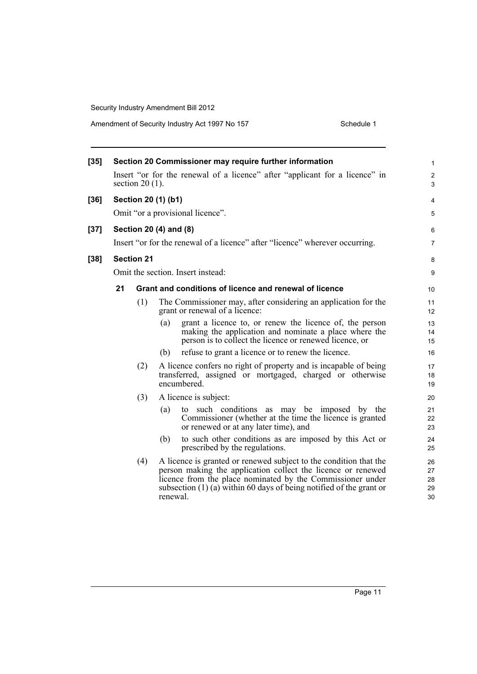|    |                                                                                                  | Section 20 Commissioner may require further information                                                                                                                                                                                                                              | $\mathbf{1}$<br>$\overline{c}$                                                                                                                                                                                                                                 |  |  |  |
|----|--------------------------------------------------------------------------------------------------|--------------------------------------------------------------------------------------------------------------------------------------------------------------------------------------------------------------------------------------------------------------------------------------|----------------------------------------------------------------------------------------------------------------------------------------------------------------------------------------------------------------------------------------------------------------|--|--|--|
|    |                                                                                                  |                                                                                                                                                                                                                                                                                      |                                                                                                                                                                                                                                                                |  |  |  |
|    | Insert "or for the renewal of a licence" after "applicant for a licence" in<br>section $20(1)$ . |                                                                                                                                                                                                                                                                                      |                                                                                                                                                                                                                                                                |  |  |  |
|    | Section 20 (1) (b1)<br>$[36]$                                                                    |                                                                                                                                                                                                                                                                                      |                                                                                                                                                                                                                                                                |  |  |  |
|    |                                                                                                  |                                                                                                                                                                                                                                                                                      | 5                                                                                                                                                                                                                                                              |  |  |  |
|    |                                                                                                  |                                                                                                                                                                                                                                                                                      | 6                                                                                                                                                                                                                                                              |  |  |  |
|    |                                                                                                  |                                                                                                                                                                                                                                                                                      | $\overline{7}$                                                                                                                                                                                                                                                 |  |  |  |
|    |                                                                                                  |                                                                                                                                                                                                                                                                                      | 8                                                                                                                                                                                                                                                              |  |  |  |
|    |                                                                                                  |                                                                                                                                                                                                                                                                                      | 9                                                                                                                                                                                                                                                              |  |  |  |
| 21 |                                                                                                  |                                                                                                                                                                                                                                                                                      | 10                                                                                                                                                                                                                                                             |  |  |  |
|    | (1)                                                                                              | The Commissioner may, after considering an application for the<br>grant or renewal of a licence:                                                                                                                                                                                     | 11<br>12                                                                                                                                                                                                                                                       |  |  |  |
|    |                                                                                                  | grant a licence to, or renew the licence of, the person<br>(a)<br>making the application and nominate a place where the<br>person is to collect the licence or renewed licence, or                                                                                                   | 13<br>14<br>15                                                                                                                                                                                                                                                 |  |  |  |
|    |                                                                                                  | refuse to grant a licence or to renew the licence.<br>(b)                                                                                                                                                                                                                            | 16                                                                                                                                                                                                                                                             |  |  |  |
|    | (2)                                                                                              | A licence confers no right of property and is incapable of being<br>transferred, assigned or mortgaged, charged or otherwise<br>encumbered.                                                                                                                                          | 17<br>18<br>19                                                                                                                                                                                                                                                 |  |  |  |
|    | (3)                                                                                              | A licence is subject:                                                                                                                                                                                                                                                                | 20                                                                                                                                                                                                                                                             |  |  |  |
|    |                                                                                                  | to such conditions as may be imposed by the<br>(a)<br>Commissioner (whether at the time the licence is granted<br>or renewed or at any later time), and                                                                                                                              | 21<br>22<br>23                                                                                                                                                                                                                                                 |  |  |  |
|    |                                                                                                  | to such other conditions as are imposed by this Act or<br>(b)<br>prescribed by the regulations.                                                                                                                                                                                      | 24<br>25                                                                                                                                                                                                                                                       |  |  |  |
|    | (4)                                                                                              | A licence is granted or renewed subject to the condition that the<br>person making the application collect the licence or renewed<br>licence from the place nominated by the Commissioner under<br>subsection $(1)$ (a) within 60 days of being notified of the grant or<br>renewal. | 26<br>27<br>28<br>29<br>30                                                                                                                                                                                                                                     |  |  |  |
|    |                                                                                                  |                                                                                                                                                                                                                                                                                      | Omit "or a provisional licence".<br>Section 20 (4) and (8)<br>Insert "or for the renewal of a licence" after "licence" wherever occurring.<br><b>Section 21</b><br>Omit the section. Insert instead:<br>Grant and conditions of licence and renewal of licence |  |  |  |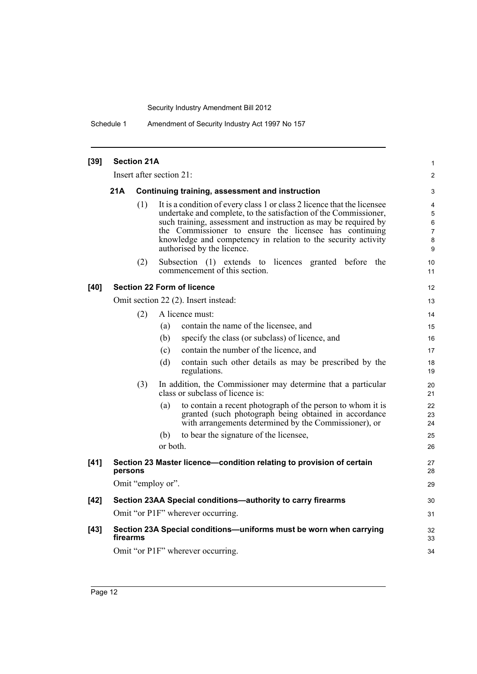Schedule 1 Amendment of Security Industry Act 1997 No 157

| $[39]$ | <b>Section 21A</b>     |                                                 |                                                                                                                                                                                                                                                                                                                                                                         |                                         |  |  |  |  |
|--------|------------------------|-------------------------------------------------|-------------------------------------------------------------------------------------------------------------------------------------------------------------------------------------------------------------------------------------------------------------------------------------------------------------------------------------------------------------------------|-----------------------------------------|--|--|--|--|
|        |                        |                                                 | Insert after section 21:                                                                                                                                                                                                                                                                                                                                                | $\overline{2}$                          |  |  |  |  |
|        | 21A                    | Continuing training, assessment and instruction |                                                                                                                                                                                                                                                                                                                                                                         |                                         |  |  |  |  |
|        |                        | (1)                                             | It is a condition of every class 1 or class 2 licence that the licensee<br>undertake and complete, to the satisfaction of the Commissioner,<br>such training, assessment and instruction as may be required by<br>the Commissioner to ensure the licensee has continuing<br>knowledge and competency in relation to the security activity<br>authorised by the licence. | 4<br>5<br>6<br>$\overline{7}$<br>8<br>9 |  |  |  |  |
|        |                        | (2)                                             | Subsection (1) extends to licences granted before the<br>commencement of this section.                                                                                                                                                                                                                                                                                  | 10<br>11                                |  |  |  |  |
| [40]   |                        |                                                 | <b>Section 22 Form of licence</b>                                                                                                                                                                                                                                                                                                                                       | 12                                      |  |  |  |  |
|        |                        |                                                 | Omit section 22 (2). Insert instead:                                                                                                                                                                                                                                                                                                                                    | 13                                      |  |  |  |  |
|        | (2)<br>A licence must: |                                                 |                                                                                                                                                                                                                                                                                                                                                                         |                                         |  |  |  |  |
|        |                        |                                                 | contain the name of the licensee, and<br>(a)                                                                                                                                                                                                                                                                                                                            | 15                                      |  |  |  |  |
|        |                        |                                                 | specify the class (or subclass) of licence, and<br>(b)                                                                                                                                                                                                                                                                                                                  | 16                                      |  |  |  |  |
|        |                        |                                                 | contain the number of the licence, and<br>(c)                                                                                                                                                                                                                                                                                                                           | 17                                      |  |  |  |  |
|        |                        |                                                 | contain such other details as may be prescribed by the<br>(d)<br>regulations.                                                                                                                                                                                                                                                                                           | 18<br>19                                |  |  |  |  |
|        |                        | (3)                                             | In addition, the Commissioner may determine that a particular<br>class or subclass of licence is:                                                                                                                                                                                                                                                                       | 20<br>21                                |  |  |  |  |
|        |                        |                                                 | to contain a recent photograph of the person to whom it is<br>(a)<br>granted (such photograph being obtained in accordance<br>with arrangements determined by the Commissioner), or                                                                                                                                                                                     | 22<br>23<br>24                          |  |  |  |  |
|        |                        |                                                 | to bear the signature of the licensee,<br>(b)                                                                                                                                                                                                                                                                                                                           | 25                                      |  |  |  |  |
|        |                        |                                                 | or both.                                                                                                                                                                                                                                                                                                                                                                | 26                                      |  |  |  |  |
| $[41]$ | persons                |                                                 | Section 23 Master licence-condition relating to provision of certain                                                                                                                                                                                                                                                                                                    | 27<br>28                                |  |  |  |  |
|        |                        |                                                 | Omit "employ or".                                                                                                                                                                                                                                                                                                                                                       | 29                                      |  |  |  |  |
| $[42]$ |                        |                                                 | Section 23AA Special conditions-authority to carry firearms                                                                                                                                                                                                                                                                                                             | 30                                      |  |  |  |  |
|        |                        |                                                 | Omit "or P1F" wherever occurring.                                                                                                                                                                                                                                                                                                                                       | 31                                      |  |  |  |  |
| $[43]$ | firearms               |                                                 | Section 23A Special conditions-uniforms must be worn when carrying                                                                                                                                                                                                                                                                                                      | 32<br>33                                |  |  |  |  |
|        |                        | Omit "or P1F" wherever occurring.               |                                                                                                                                                                                                                                                                                                                                                                         |                                         |  |  |  |  |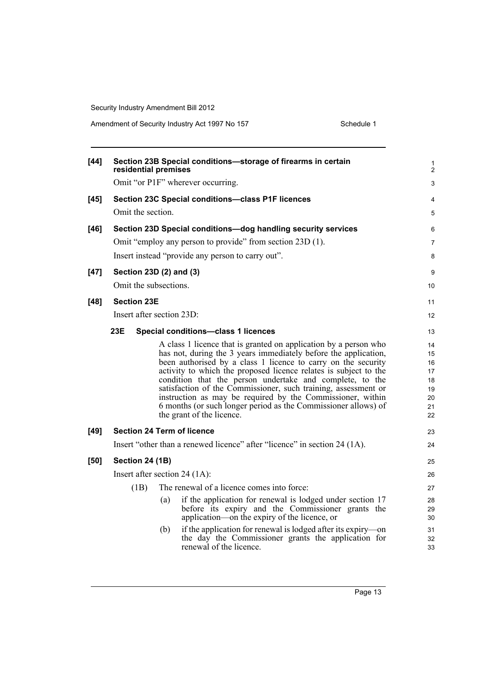| $[44]$ | residential premises              |     | Section 23B Special conditions-storage of firearms in certain                                                                    | 1<br>$\overline{2}$ |
|--------|-----------------------------------|-----|----------------------------------------------------------------------------------------------------------------------------------|---------------------|
|        |                                   |     | Omit "or P1F" wherever occurring.                                                                                                | 3                   |
| $[45]$ |                                   |     | Section 23C Special conditions-class P1F licences                                                                                | 4                   |
|        | Omit the section.                 |     |                                                                                                                                  | 5                   |
| $[46]$ |                                   |     | Section 23D Special conditions-dog handling security services                                                                    | 6                   |
|        |                                   |     | Omit "employ any person to provide" from section 23D (1).                                                                        | $\overline{7}$      |
|        |                                   |     | Insert instead "provide any person to carry out".                                                                                | 8                   |
| $[47]$ | Section 23D (2) and (3)           |     |                                                                                                                                  | 9                   |
|        | Omit the subsections.             |     |                                                                                                                                  | 10                  |
| $[48]$ | <b>Section 23E</b>                |     |                                                                                                                                  | 11                  |
|        | Insert after section 23D:         |     |                                                                                                                                  | 12                  |
|        | 23E                               |     | Special conditions-class 1 licences                                                                                              | 13                  |
|        |                                   |     |                                                                                                                                  |                     |
|        |                                   |     | A class 1 licence that is granted on application by a person who                                                                 | 14                  |
|        |                                   |     | has not, during the 3 years immediately before the application,<br>been authorised by a class 1 licence to carry on the security | 15<br>16            |
|        |                                   |     | activity to which the proposed licence relates is subject to the                                                                 | 17                  |
|        |                                   |     | condition that the person undertake and complete, to the                                                                         | 18                  |
|        |                                   |     | satisfaction of the Commissioner, such training, assessment or                                                                   | 19                  |
|        |                                   |     | instruction as may be required by the Commissioner, within                                                                       | 20                  |
|        |                                   |     | 6 months (or such longer period as the Commissioner allows) of                                                                   | 21                  |
|        |                                   |     | the grant of the licence.                                                                                                        | 22                  |
| $[49]$ | <b>Section 24 Term of licence</b> |     |                                                                                                                                  | 23                  |
|        |                                   |     | Insert "other than a renewed licence" after "licence" in section 24 (1A).                                                        | 24                  |
| $[50]$ | <b>Section 24 (1B)</b>            |     |                                                                                                                                  | 25                  |
|        | Insert after section 24 $(1A)$ :  |     |                                                                                                                                  | 26                  |
|        | (1B)                              |     | The renewal of a licence comes into force:                                                                                       | 27                  |
|        |                                   | (a) | if the application for renewal is lodged under section 17                                                                        | 28                  |
|        |                                   |     | before its expiry and the Commissioner grants the                                                                                | 29                  |
|        |                                   |     | application—on the expiry of the licence, or                                                                                     | 30                  |
|        |                                   | (b) | if the application for renewal is lodged after its expiry—on                                                                     | 31                  |
|        |                                   |     | the day the Commissioner grants the application for                                                                              | 32                  |
|        |                                   |     | renewal of the licence.                                                                                                          | 33                  |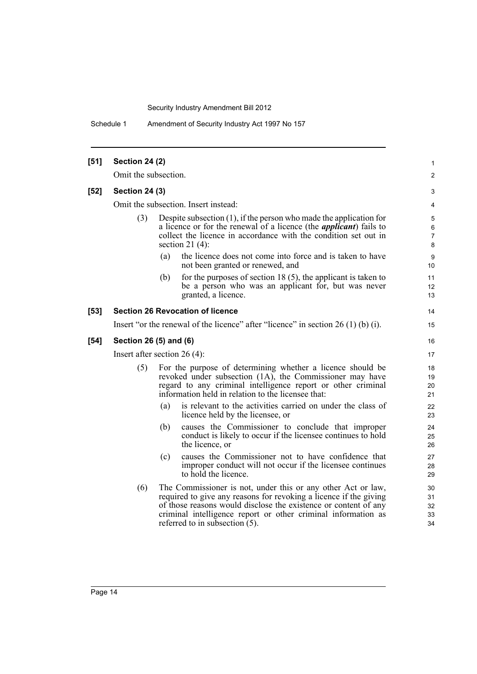Schedule 1 Amendment of Security Industry Act 1997 No 157

| $[51]$ | <b>Section 24 (2)</b>          |                                                                                                                                                                                                                                              |                                                                                                                                                                                                                                                                                                            | $\mathbf{1}$               |  |
|--------|--------------------------------|----------------------------------------------------------------------------------------------------------------------------------------------------------------------------------------------------------------------------------------------|------------------------------------------------------------------------------------------------------------------------------------------------------------------------------------------------------------------------------------------------------------------------------------------------------------|----------------------------|--|
|        | Omit the subsection.           |                                                                                                                                                                                                                                              |                                                                                                                                                                                                                                                                                                            | 2                          |  |
| $[52]$ | <b>Section 24 (3)</b>          |                                                                                                                                                                                                                                              |                                                                                                                                                                                                                                                                                                            | 3                          |  |
|        |                                |                                                                                                                                                                                                                                              | Omit the subsection. Insert instead:                                                                                                                                                                                                                                                                       | 4                          |  |
|        | (3)                            | Despite subsection $(1)$ , if the person who made the application for<br>a licence or for the renewal of a licence (the <i>applicant</i> ) fails to<br>collect the licence in accordance with the condition set out in<br>section 21 $(4)$ : |                                                                                                                                                                                                                                                                                                            |                            |  |
|        |                                | (a)                                                                                                                                                                                                                                          | the licence does not come into force and is taken to have<br>not been granted or renewed, and                                                                                                                                                                                                              | 9<br>10                    |  |
|        |                                | (b)                                                                                                                                                                                                                                          | for the purposes of section 18 $(5)$ , the applicant is taken to<br>be a person who was an applicant for, but was never<br>granted, a licence.                                                                                                                                                             | 11<br>12<br>13             |  |
| $[53]$ |                                |                                                                                                                                                                                                                                              | <b>Section 26 Revocation of licence</b>                                                                                                                                                                                                                                                                    | 14                         |  |
|        |                                |                                                                                                                                                                                                                                              | Insert "or the renewal of the licence" after "licence" in section $26(1)(b)(i)$ .                                                                                                                                                                                                                          | 15                         |  |
| $[54]$ | Section 26 (5) and (6)         |                                                                                                                                                                                                                                              |                                                                                                                                                                                                                                                                                                            |                            |  |
|        | Insert after section $26(4)$ : |                                                                                                                                                                                                                                              |                                                                                                                                                                                                                                                                                                            |                            |  |
|        | (5)                            |                                                                                                                                                                                                                                              | For the purpose of determining whether a licence should be<br>revoked under subsection (1A), the Commissioner may have<br>regard to any criminal intelligence report or other criminal<br>information held in relation to the licensee that:                                                               | 18<br>19<br>20<br>21       |  |
|        |                                | (a)                                                                                                                                                                                                                                          | is relevant to the activities carried on under the class of<br>licence held by the licensee, or                                                                                                                                                                                                            | 22<br>23                   |  |
|        |                                | (b)                                                                                                                                                                                                                                          | causes the Commissioner to conclude that improper<br>conduct is likely to occur if the licensee continues to hold<br>the licence, or                                                                                                                                                                       | 24<br>25<br>26             |  |
|        |                                | (c)                                                                                                                                                                                                                                          | causes the Commissioner not to have confidence that<br>improper conduct will not occur if the licensee continues<br>to hold the licence.                                                                                                                                                                   | 27<br>28<br>29             |  |
|        | (6)                            |                                                                                                                                                                                                                                              | The Commissioner is not, under this or any other Act or law,<br>required to give any reasons for revoking a licence if the giving<br>of those reasons would disclose the existence or content of any<br>criminal intelligence report or other criminal information as<br>referred to in subsection $(5)$ . | 30<br>31<br>32<br>33<br>34 |  |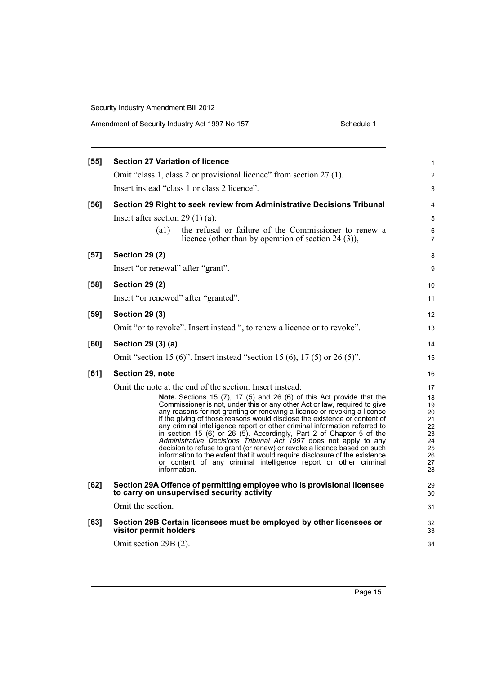| [55]   | <b>Section 27 Variation of licence</b>                                                                                                                                                                                                                                                                                                                                                                                                                                                                                                                                                                                                                                                                                                                                                      | $\mathbf{1}$                                                   |
|--------|---------------------------------------------------------------------------------------------------------------------------------------------------------------------------------------------------------------------------------------------------------------------------------------------------------------------------------------------------------------------------------------------------------------------------------------------------------------------------------------------------------------------------------------------------------------------------------------------------------------------------------------------------------------------------------------------------------------------------------------------------------------------------------------------|----------------------------------------------------------------|
|        | Omit "class 1, class 2 or provisional licence" from section 27 (1).                                                                                                                                                                                                                                                                                                                                                                                                                                                                                                                                                                                                                                                                                                                         | $\boldsymbol{2}$                                               |
|        | Insert instead "class 1 or class 2 licence".                                                                                                                                                                                                                                                                                                                                                                                                                                                                                                                                                                                                                                                                                                                                                | 3                                                              |
| [56]   | Section 29 Right to seek review from Administrative Decisions Tribunal                                                                                                                                                                                                                                                                                                                                                                                                                                                                                                                                                                                                                                                                                                                      | $\overline{4}$                                                 |
|        | Insert after section 29 $(1)$ (a):                                                                                                                                                                                                                                                                                                                                                                                                                                                                                                                                                                                                                                                                                                                                                          | 5                                                              |
|        | $\left( a1\right)$<br>the refusal or failure of the Commissioner to renew a<br>licence (other than by operation of section 24 $(3)$ ),                                                                                                                                                                                                                                                                                                                                                                                                                                                                                                                                                                                                                                                      | 6<br>$\overline{7}$                                            |
| $[57]$ | <b>Section 29 (2)</b>                                                                                                                                                                                                                                                                                                                                                                                                                                                                                                                                                                                                                                                                                                                                                                       | 8                                                              |
|        | Insert "or renewal" after "grant".                                                                                                                                                                                                                                                                                                                                                                                                                                                                                                                                                                                                                                                                                                                                                          | 9                                                              |
| $[58]$ | <b>Section 29 (2)</b>                                                                                                                                                                                                                                                                                                                                                                                                                                                                                                                                                                                                                                                                                                                                                                       | 10                                                             |
|        | Insert "or renewed" after "granted".                                                                                                                                                                                                                                                                                                                                                                                                                                                                                                                                                                                                                                                                                                                                                        | 11                                                             |
| $[59]$ | <b>Section 29 (3)</b>                                                                                                                                                                                                                                                                                                                                                                                                                                                                                                                                                                                                                                                                                                                                                                       | 12                                                             |
|        | Omit "or to revoke". Insert instead ", to renew a licence or to revoke".                                                                                                                                                                                                                                                                                                                                                                                                                                                                                                                                                                                                                                                                                                                    | 13                                                             |
| [60]   | Section 29 (3) (a)                                                                                                                                                                                                                                                                                                                                                                                                                                                                                                                                                                                                                                                                                                                                                                          | 14                                                             |
|        | Omit "section 15 (6)". Insert instead "section 15 (6), 17 (5) or 26 (5)".                                                                                                                                                                                                                                                                                                                                                                                                                                                                                                                                                                                                                                                                                                                   | 15                                                             |
| [61]   | Section 29, note                                                                                                                                                                                                                                                                                                                                                                                                                                                                                                                                                                                                                                                                                                                                                                            | 16                                                             |
|        | Omit the note at the end of the section. Insert instead:                                                                                                                                                                                                                                                                                                                                                                                                                                                                                                                                                                                                                                                                                                                                    | 17                                                             |
|        | Note. Sections 15 $(7)$ , 17 $(5)$ and 26 $(6)$ of this Act provide that the<br>Commissioner is not, under this or any other Act or law, required to give<br>any reasons for not granting or renewing a licence or revoking a licence<br>if the giving of those reasons would disclose the existence or content of<br>any criminal intelligence report or other criminal information referred to<br>in section 15 (6) or 26 (5). Accordingly, Part 2 of Chapter 5 of the<br>Administrative Decisions Tribunal Act 1997 does not apply to any<br>decision to refuse to grant (or renew) or revoke a licence based on such<br>information to the extent that it would require disclosure of the existence<br>or content of any criminal intelligence report or other criminal<br>information. | 18<br>19<br>20<br>21<br>22<br>23<br>24<br>25<br>26<br>27<br>28 |
| [62]   | Section 29A Offence of permitting employee who is provisional licensee<br>to carry on unsupervised security activity                                                                                                                                                                                                                                                                                                                                                                                                                                                                                                                                                                                                                                                                        | 29<br>30                                                       |
|        | Omit the section.                                                                                                                                                                                                                                                                                                                                                                                                                                                                                                                                                                                                                                                                                                                                                                           | 31                                                             |
| [63]   | Section 29B Certain licensees must be employed by other licensees or<br>visitor permit holders                                                                                                                                                                                                                                                                                                                                                                                                                                                                                                                                                                                                                                                                                              | 32<br>33                                                       |
|        | Omit section 29B (2).                                                                                                                                                                                                                                                                                                                                                                                                                                                                                                                                                                                                                                                                                                                                                                       | 34                                                             |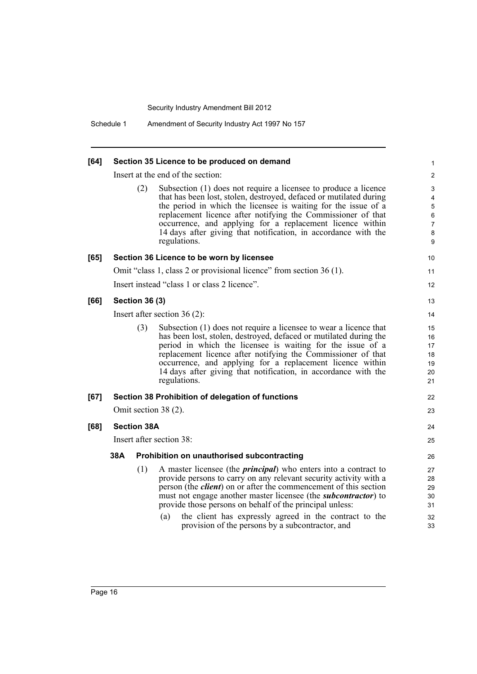| [64] |                       |     | Section 35 Licence to be produced on demand                                                                                                                                                                                                                                                                                                                                                                                                                                         | 1                                            |
|------|-----------------------|-----|-------------------------------------------------------------------------------------------------------------------------------------------------------------------------------------------------------------------------------------------------------------------------------------------------------------------------------------------------------------------------------------------------------------------------------------------------------------------------------------|----------------------------------------------|
|      |                       |     | Insert at the end of the section:                                                                                                                                                                                                                                                                                                                                                                                                                                                   | $\overline{\mathbf{c}}$                      |
|      |                       | (2) | Subsection (1) does not require a licensee to produce a licence<br>that has been lost, stolen, destroyed, defaced or mutilated during<br>the period in which the licensee is waiting for the issue of a<br>replacement licence after notifying the Commissioner of that<br>occurrence, and applying for a replacement licence within<br>14 days after giving that notification, in accordance with the<br>regulations.                                                              | 3<br>4<br>5<br>6<br>$\overline{7}$<br>8<br>9 |
| [65] |                       |     | Section 36 Licence to be worn by licensee                                                                                                                                                                                                                                                                                                                                                                                                                                           | 10                                           |
|      |                       |     | Omit "class 1, class 2 or provisional licence" from section 36 (1).                                                                                                                                                                                                                                                                                                                                                                                                                 | 11                                           |
|      |                       |     | Insert instead "class 1 or class 2 licence".                                                                                                                                                                                                                                                                                                                                                                                                                                        | 12                                           |
| [66] | <b>Section 36 (3)</b> |     |                                                                                                                                                                                                                                                                                                                                                                                                                                                                                     | 13                                           |
|      |                       |     | Insert after section $36(2)$ :                                                                                                                                                                                                                                                                                                                                                                                                                                                      | 14                                           |
|      |                       | (3) | Subsection (1) does not require a licensee to wear a licence that<br>has been lost, stolen, destroyed, defaced or mutilated during the<br>period in which the licensee is waiting for the issue of a<br>replacement licence after notifying the Commissioner of that<br>occurrence, and applying for a replacement licence within<br>14 days after giving that notification, in accordance with the<br>regulations.                                                                 | 15<br>16<br>17<br>18<br>19<br>20<br>21       |
| [67] |                       |     | Section 38 Prohibition of delegation of functions                                                                                                                                                                                                                                                                                                                                                                                                                                   | 22                                           |
|      |                       |     | Omit section 38 (2).                                                                                                                                                                                                                                                                                                                                                                                                                                                                | 23                                           |
| [68] | <b>Section 38A</b>    |     |                                                                                                                                                                                                                                                                                                                                                                                                                                                                                     | 24                                           |
|      |                       |     | Insert after section 38:                                                                                                                                                                                                                                                                                                                                                                                                                                                            | 25                                           |
|      | 38A                   |     | Prohibition on unauthorised subcontracting                                                                                                                                                                                                                                                                                                                                                                                                                                          | 26                                           |
|      |                       | (1) | A master licensee (the <i>principal</i> ) who enters into a contract to<br>provide persons to carry on any relevant security activity with a<br>person (the <i>client</i> ) on or after the commencement of this section<br>must not engage another master licensee (the <i>subcontractor</i> ) to<br>provide those persons on behalf of the principal unless:<br>the client has expressly agreed in the contract to the<br>(a)<br>provision of the persons by a subcontractor, and | 27<br>28<br>29<br>30<br>31<br>32<br>33       |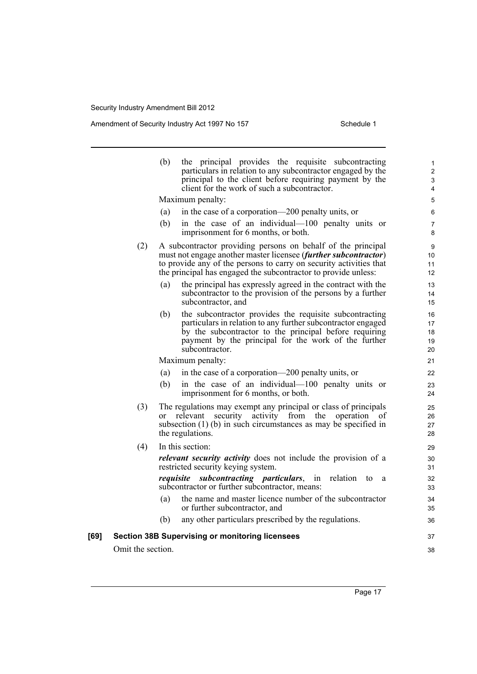|      |                   | the principal provides the requisite subcontracting<br>(b)<br>particulars in relation to any subcontractor engaged by the<br>principal to the client before requiring payment by the<br>client for the work of such a subcontractor.                                    | 1<br>$\overline{2}$<br>3<br>4 |
|------|-------------------|-------------------------------------------------------------------------------------------------------------------------------------------------------------------------------------------------------------------------------------------------------------------------|-------------------------------|
|      |                   | Maximum penalty:                                                                                                                                                                                                                                                        | 5                             |
|      |                   | (a)<br>in the case of a corporation—200 penalty units, or                                                                                                                                                                                                               | 6                             |
|      |                   | (b)<br>in the case of an individual—100 penalty units or<br>imprisonment for 6 months, or both.                                                                                                                                                                         | 7<br>8                        |
|      | (2)               | A subcontractor providing persons on behalf of the principal<br>must not engage another master licensee (further subcontractor)<br>to provide any of the persons to carry on security activities that<br>the principal has engaged the subcontractor to provide unless: | 9<br>10<br>11<br>12           |
|      |                   | the principal has expressly agreed in the contract with the<br>(a)<br>subcontractor to the provision of the persons by a further<br>subcontractor, and                                                                                                                  | 13<br>14<br>15                |
|      |                   | the subcontractor provides the requisite subcontracting<br>(b)<br>particulars in relation to any further subcontractor engaged<br>by the subcontractor to the principal before requiring<br>payment by the principal for the work of the further<br>subcontractor.      | 16<br>17<br>18<br>19<br>20    |
|      |                   | Maximum penalty:                                                                                                                                                                                                                                                        | 21                            |
|      |                   | in the case of a corporation—200 penalty units, or<br>(a)                                                                                                                                                                                                               | 22                            |
|      |                   | in the case of an individual—100 penalty units or<br>(b)<br>imprisonment for 6 months, or both.                                                                                                                                                                         | 23<br>24                      |
|      | (3)               | The regulations may exempt any principal or class of principals<br>security activity from the<br>operation<br>relevant<br>0 <sup>f</sup><br>or<br>subsection $(1)$ (b) in such circumstances as may be specified in<br>the regulations.                                 | 25<br>26<br>27<br>28          |
|      | (4)               | In this section:                                                                                                                                                                                                                                                        | 29                            |
|      |                   | relevant security activity does not include the provision of a<br>restricted security keying system.                                                                                                                                                                    | 30<br>31                      |
|      |                   | <i>requisite subcontracting particulars, in</i><br>relation<br>to<br><sub>a</sub><br>subcontractor or further subcontractor, means:                                                                                                                                     | 32<br>33                      |
|      |                   | the name and master licence number of the subcontractor<br>(a)<br>or further subcontractor, and                                                                                                                                                                         | 34<br>35                      |
|      |                   | any other particulars prescribed by the regulations.<br>(b)                                                                                                                                                                                                             | 36                            |
| [69] |                   | <b>Section 38B Supervising or monitoring licensees</b>                                                                                                                                                                                                                  | 37                            |
|      | Omit the section. |                                                                                                                                                                                                                                                                         | 38                            |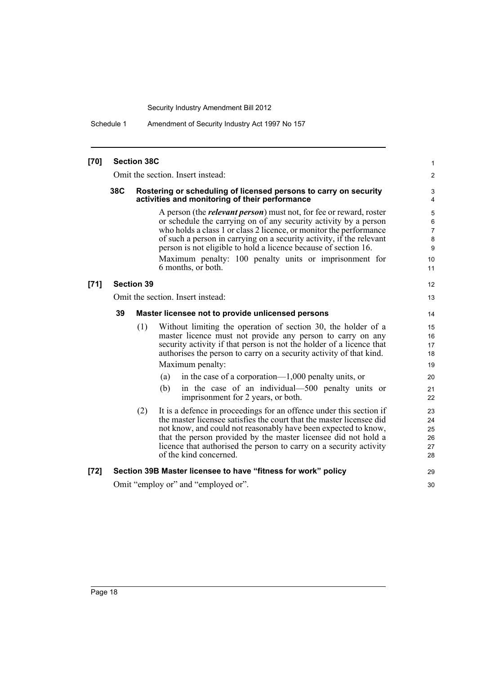Schedule 1 Amendment of Security Industry Act 1997 No 157

| $[70]$ |     | <b>Section 38C</b> |                                                                                                                                                                                                                                                                                                                                                                                                                                                 | 1                                                              |
|--------|-----|--------------------|-------------------------------------------------------------------------------------------------------------------------------------------------------------------------------------------------------------------------------------------------------------------------------------------------------------------------------------------------------------------------------------------------------------------------------------------------|----------------------------------------------------------------|
|        |     |                    | Omit the section. Insert instead:                                                                                                                                                                                                                                                                                                                                                                                                               | $\overline{c}$                                                 |
|        | 38C |                    | Rostering or scheduling of licensed persons to carry on security<br>activities and monitoring of their performance                                                                                                                                                                                                                                                                                                                              | 3<br>4                                                         |
|        |     |                    | A person (the <i>relevant person</i> ) must not, for fee or reward, roster<br>or schedule the carrying on of any security activity by a person<br>who holds a class 1 or class 2 licence, or monitor the performance<br>of such a person in carrying on a security activity, if the relevant<br>person is not eligible to hold a licence because of section 16.<br>Maximum penalty: 100 penalty units or imprisonment for<br>6 months, or both. | $\mathbf 5$<br>$\,6\,$<br>$\overline{7}$<br>8<br>9<br>10<br>11 |
| $[71]$ |     | <b>Section 39</b>  |                                                                                                                                                                                                                                                                                                                                                                                                                                                 | $12 \overline{ }$                                              |
|        |     |                    | Omit the section. Insert instead:                                                                                                                                                                                                                                                                                                                                                                                                               | 13                                                             |
|        | 39  |                    | Master licensee not to provide unlicensed persons                                                                                                                                                                                                                                                                                                                                                                                               | 14                                                             |
|        |     | (1)                | Without limiting the operation of section 30, the holder of a<br>master licence must not provide any person to carry on any<br>security activity if that person is not the holder of a licence that<br>authorises the person to carry on a security activity of that kind.<br>Maximum penalty:<br>in the case of a corporation— $1,000$ penalty units, or<br>(a)<br>in the case of an individual—500 penalty units or<br>(b)                    | 15<br>16<br>17<br>18<br>19<br>20<br>21                         |
|        |     |                    | imprisonment for 2 years, or both.                                                                                                                                                                                                                                                                                                                                                                                                              | 22                                                             |
|        |     | (2)                | It is a defence in proceedings for an offence under this section if<br>the master licensee satisfies the court that the master licensee did<br>not know, and could not reasonably have been expected to know,<br>that the person provided by the master licensee did not hold a<br>licence that authorised the person to carry on a security activity<br>of the kind concerned.                                                                 | 23<br>24<br>25<br>26<br>27<br>28                               |
| $[72]$ |     |                    | Section 39B Master licensee to have "fitness for work" policy                                                                                                                                                                                                                                                                                                                                                                                   | 29                                                             |
|        |     |                    | Omit "employ or" and "employed or".                                                                                                                                                                                                                                                                                                                                                                                                             | 30                                                             |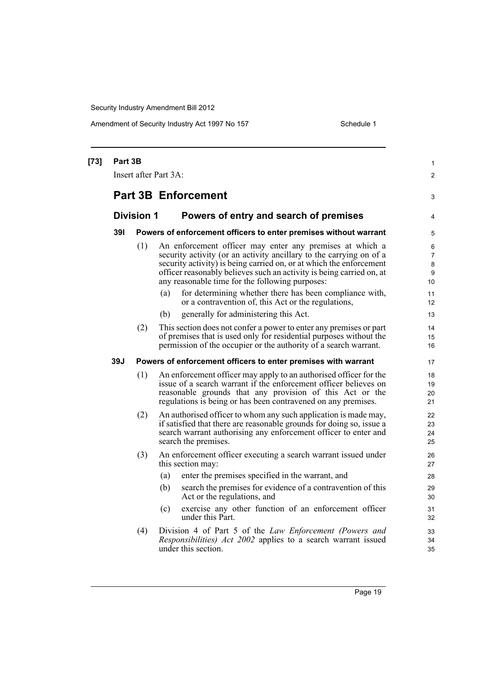| $[73]$ | Part 3B           |     | Insert after Part 3A:                                                                                                                                                                                                                                                                                                             | 1<br>$\overline{2}$          |
|--------|-------------------|-----|-----------------------------------------------------------------------------------------------------------------------------------------------------------------------------------------------------------------------------------------------------------------------------------------------------------------------------------|------------------------------|
|        |                   |     | <b>Part 3B Enforcement</b>                                                                                                                                                                                                                                                                                                        | 3                            |
|        | <b>Division 1</b> |     | Powers of entry and search of premises                                                                                                                                                                                                                                                                                            | 4                            |
|        | 391               |     | Powers of enforcement officers to enter premises without warrant                                                                                                                                                                                                                                                                  | 5                            |
|        |                   | (1) | An enforcement officer may enter any premises at which a<br>security activity (or an activity ancillary to the carrying on of a<br>security activity) is being carried on, or at which the enforcement<br>officer reasonably believes such an activity is being carried on, at<br>any reasonable time for the following purposes: | 6<br>7<br>$\bf 8$<br>9<br>10 |
|        |                   |     | (a)<br>for determining whether there has been compliance with,<br>or a contravention of, this Act or the regulations,                                                                                                                                                                                                             | 11<br>12                     |
|        |                   |     | generally for administering this Act.<br>(b)                                                                                                                                                                                                                                                                                      | 13                           |
|        |                   | (2) | This section does not confer a power to enter any premises or part<br>of premises that is used only for residential purposes without the<br>permission of the occupier or the authority of a search warrant.                                                                                                                      | 14<br>15<br>16               |
|        | 39J               |     | Powers of enforcement officers to enter premises with warrant                                                                                                                                                                                                                                                                     | 17                           |
|        |                   | (1) | An enforcement officer may apply to an authorised officer for the<br>issue of a search warrant if the enforcement officer believes on<br>reasonable grounds that any provision of this Act or the<br>regulations is being or has been contravened on any premises.                                                                | 18<br>19<br>20<br>21         |
|        |                   | (2) | An authorised officer to whom any such application is made may,<br>if satisfied that there are reasonable grounds for doing so, issue a<br>search warrant authorising any enforcement officer to enter and<br>search the premises.                                                                                                | 22<br>23<br>24<br>25         |
|        |                   | (3) | An enforcement officer executing a search warrant issued under<br>this section may:                                                                                                                                                                                                                                               | 26<br>27                     |
|        |                   |     | enter the premises specified in the warrant, and<br>(a)                                                                                                                                                                                                                                                                           | 28                           |
|        |                   |     | search the premises for evidence of a contravention of this<br>(b)<br>Act or the regulations, and                                                                                                                                                                                                                                 | 29<br>30                     |
|        |                   |     | exercise any other function of an enforcement officer<br>(c)<br>under this Part.                                                                                                                                                                                                                                                  | 31<br>32                     |
|        |                   | (4) | Division 4 of Part 5 of the Law Enforcement (Powers and<br><i>Responsibilities</i> ) <i>Act 2002</i> applies to a search warrant issued<br>under this section.                                                                                                                                                                    | 33<br>34<br>35               |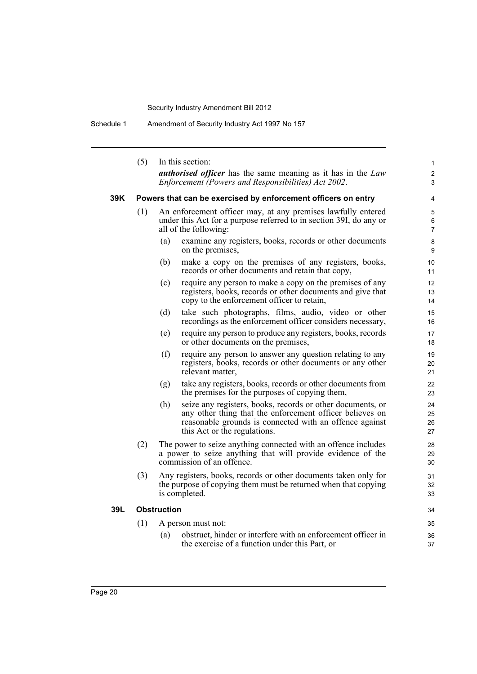Schedule 1 Amendment of Security Industry Act 1997 No 157

|     | (5) | In this section:                                                                                                                                                                                                         | $\mathbf{1}$             |
|-----|-----|--------------------------------------------------------------------------------------------------------------------------------------------------------------------------------------------------------------------------|--------------------------|
|     |     | <b><i>authorised officer</i></b> has the same meaning as it has in the Law<br>Enforcement (Powers and Responsibilities) Act 2002.                                                                                        | 2<br>3                   |
| 39K |     | Powers that can be exercised by enforcement officers on entry                                                                                                                                                            | 4                        |
|     | (1) | An enforcement officer may, at any premises lawfully entered<br>under this Act for a purpose referred to in section 39I, do any or<br>all of the following:                                                              | 5<br>6<br>$\overline{7}$ |
|     |     | (a)<br>examine any registers, books, records or other documents<br>on the premises,                                                                                                                                      | 8<br>9                   |
|     |     | make a copy on the premises of any registers, books,<br>(b)<br>records or other documents and retain that copy,                                                                                                          | 10<br>11                 |
|     |     | (c)<br>require any person to make a copy on the premises of any<br>registers, books, records or other documents and give that<br>copy to the enforcement officer to retain,                                              | 12<br>13<br>14           |
|     |     | (d)<br>take such photographs, films, audio, video or other<br>recordings as the enforcement officer considers necessary,                                                                                                 | 15<br>16                 |
|     |     | (e)<br>require any person to produce any registers, books, records<br>or other documents on the premises,                                                                                                                | 17<br>18                 |
|     |     | (f)<br>require any person to answer any question relating to any<br>registers, books, records or other documents or any other<br>relevant matter,                                                                        | 19<br>20<br>21           |
|     |     | take any registers, books, records or other documents from<br>(g)<br>the premises for the purposes of copying them,                                                                                                      | 22<br>23                 |
|     |     | seize any registers, books, records or other documents, or<br>(h)<br>any other thing that the enforcement officer believes on<br>reasonable grounds is connected with an offence against<br>this Act or the regulations. | 24<br>25<br>26<br>27     |
|     | (2) | The power to seize anything connected with an offence includes<br>a power to seize anything that will provide evidence of the<br>commission of an offence.                                                               | 28<br>29<br>30           |
|     | (3) | Any registers, books, records or other documents taken only for<br>the purpose of copying them must be returned when that copying<br>is completed.                                                                       | 31<br>32<br>33           |
| 39L |     | <b>Obstruction</b>                                                                                                                                                                                                       | 34                       |
|     | (1) | A person must not:                                                                                                                                                                                                       | 35                       |
|     |     | obstruct, hinder or interfere with an enforcement officer in<br>(a)<br>the exercise of a function under this Part, or                                                                                                    | 36<br>37                 |
|     |     |                                                                                                                                                                                                                          |                          |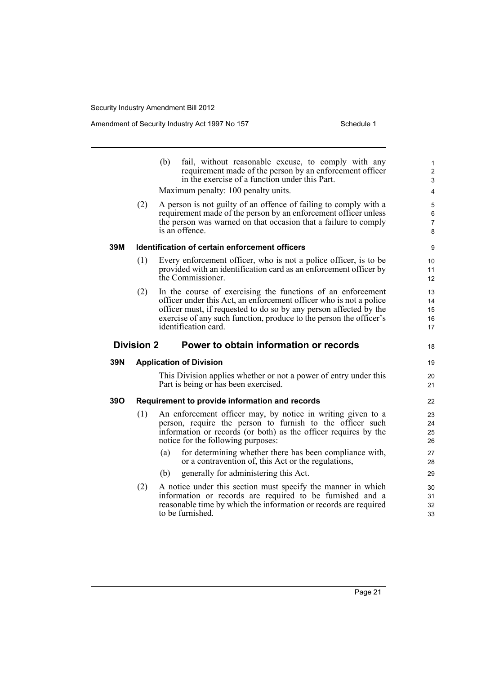Amendment of Security Industry Act 1997 No 157 Schedule 1

|     |                   | (b)<br>fail, without reasonable excuse, to comply with any<br>requirement made of the person by an enforcement officer<br>in the exercise of a function under this Part.                                                                                                                             | $\mathbf{1}$<br>$\overline{2}$<br>3 |
|-----|-------------------|------------------------------------------------------------------------------------------------------------------------------------------------------------------------------------------------------------------------------------------------------------------------------------------------------|-------------------------------------|
|     |                   | Maximum penalty: 100 penalty units.                                                                                                                                                                                                                                                                  | 4                                   |
|     | (2)               | A person is not guilty of an offence of failing to comply with a<br>requirement made of the person by an enforcement officer unless<br>the person was warned on that occasion that a failure to comply<br>is an offence.                                                                             | 5<br>6<br>$\overline{7}$<br>8       |
| 39M |                   | Identification of certain enforcement officers                                                                                                                                                                                                                                                       | 9                                   |
|     | (1)               | Every enforcement officer, who is not a police officer, is to be<br>provided with an identification card as an enforcement officer by<br>the Commissioner.                                                                                                                                           | 10<br>11<br>12                      |
|     | (2)               | In the course of exercising the functions of an enforcement<br>officer under this Act, an enforcement officer who is not a police<br>officer must, if requested to do so by any person affected by the<br>exercise of any such function, produce to the person the officer's<br>identification card. | 13<br>14<br>15<br>16<br>17          |
|     | <b>Division 2</b> | Power to obtain information or records                                                                                                                                                                                                                                                               | 18                                  |
| 39N |                   | <b>Application of Division</b>                                                                                                                                                                                                                                                                       | 19                                  |
|     |                   | This Division applies whether or not a power of entry under this<br>Part is being or has been exercised.                                                                                                                                                                                             | 20<br>21                            |
| 39O |                   | Requirement to provide information and records                                                                                                                                                                                                                                                       | 22                                  |
|     | (1)               | An enforcement officer may, by notice in writing given to a<br>person, require the person to furnish to the officer such<br>information or records (or both) as the officer requires by the<br>notice for the following purposes:                                                                    | 23<br>24<br>25<br>26                |
|     |                   | for determining whether there has been compliance with,<br>(a)<br>or a contravention of, this Act or the regulations,                                                                                                                                                                                | 27<br>28                            |
|     |                   | generally for administering this Act.<br>(b)                                                                                                                                                                                                                                                         | 29                                  |
|     | (2)               | A notice under this section must specify the manner in which<br>information or records are required to be furnished and a<br>reasonable time by which the information or records are required                                                                                                        | 30<br>31<br>32                      |

reasonable time by which the information or records are required to be furnished.

33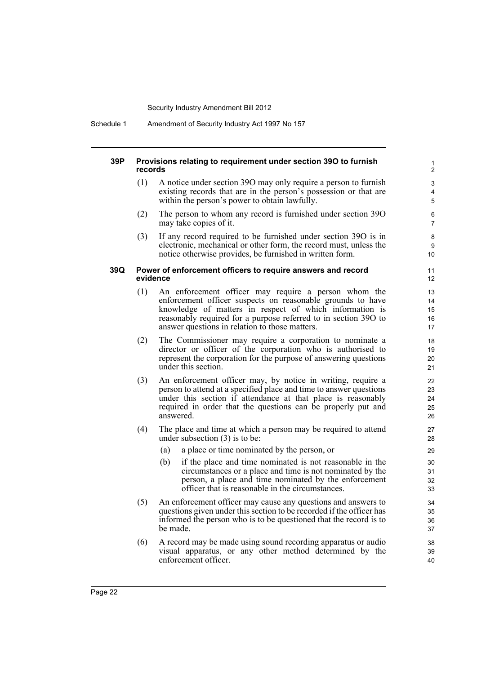### **39P Provisions relating to requirement under section 39O to furnish records**

(1) A notice under section 39O may only require a person to furnish existing records that are in the person's possession or that are within the person's power to obtain lawfully.

- (2) The person to whom any record is furnished under section 39O may take copies of it.
- (3) If any record required to be furnished under section 39O is in electronic, mechanical or other form, the record must, unless the notice otherwise provides, be furnished in written form.

### **39Q Power of enforcement officers to require answers and record evidence**

- (1) An enforcement officer may require a person whom the enforcement officer suspects on reasonable grounds to have knowledge of matters in respect of which information is reasonably required for a purpose referred to in section 39O to answer questions in relation to those matters.
- (2) The Commissioner may require a corporation to nominate a director or officer of the corporation who is authorised to represent the corporation for the purpose of answering questions under this section.
- (3) An enforcement officer may, by notice in writing, require a person to attend at a specified place and time to answer questions under this section if attendance at that place is reasonably required in order that the questions can be properly put and answered.
- (4) The place and time at which a person may be required to attend under subsection (3) is to be:
	- (a) a place or time nominated by the person, or
	- (b) if the place and time nominated is not reasonable in the circumstances or a place and time is not nominated by the person, a place and time nominated by the enforcement officer that is reasonable in the circumstances.
- (5) An enforcement officer may cause any questions and answers to questions given under this section to be recorded if the officer has informed the person who is to be questioned that the record is to be made.
- (6) A record may be made using sound recording apparatus or audio visual apparatus, or any other method determined by the enforcement officer.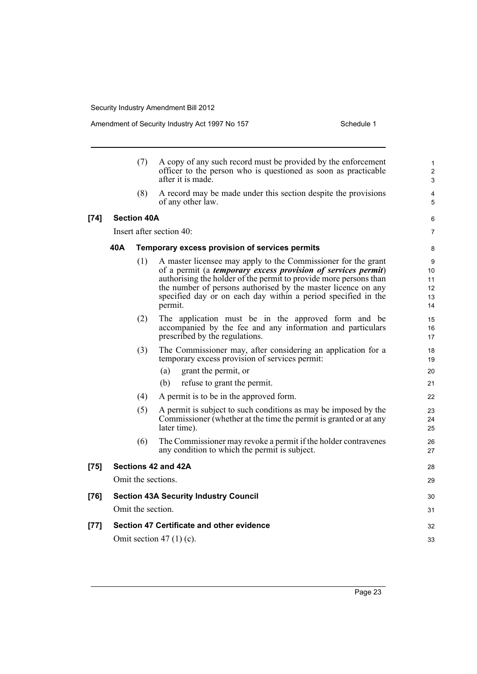|        |     | (7)                | A copy of any such record must be provided by the enforcement<br>officer to the person who is questioned as soon as practicable<br>after it is made.                                                                                                                                                                                                     | 1<br>$\overline{c}$<br>3        |
|--------|-----|--------------------|----------------------------------------------------------------------------------------------------------------------------------------------------------------------------------------------------------------------------------------------------------------------------------------------------------------------------------------------------------|---------------------------------|
|        |     | (8)                | A record may be made under this section despite the provisions<br>of any other law.                                                                                                                                                                                                                                                                      | 4<br>5                          |
| $[74]$ |     | <b>Section 40A</b> |                                                                                                                                                                                                                                                                                                                                                          | 6                               |
|        |     |                    | Insert after section 40:                                                                                                                                                                                                                                                                                                                                 | $\overline{7}$                  |
|        | 40A |                    | Temporary excess provision of services permits                                                                                                                                                                                                                                                                                                           | 8                               |
|        |     | (1)                | A master licensee may apply to the Commissioner for the grant<br>of a permit (a <i>temporary excess provision of services permit</i> )<br>authorising the holder of the permit to provide more persons than<br>the number of persons authorised by the master licence on any<br>specified day or on each day within a period specified in the<br>permit. | 9<br>10<br>11<br>12<br>13<br>14 |
|        |     | (2)                | The application must be in the approved form and be<br>accompanied by the fee and any information and particulars<br>prescribed by the regulations.                                                                                                                                                                                                      | 15<br>16<br>17                  |
|        |     | (3)                | The Commissioner may, after considering an application for a<br>temporary excess provision of services permit:<br>grant the permit, or<br>(a)<br>refuse to grant the permit.<br>(b)                                                                                                                                                                      | 18<br>19<br>20<br>21            |
|        |     | (4)                | A permit is to be in the approved form.                                                                                                                                                                                                                                                                                                                  | 22                              |
|        |     | (5)                | A permit is subject to such conditions as may be imposed by the<br>Commissioner (whether at the time the permit is granted or at any<br>later time).                                                                                                                                                                                                     | 23<br>24<br>25                  |
|        |     | (6)                | The Commissioner may revoke a permit if the holder contravenes<br>any condition to which the permit is subject.                                                                                                                                                                                                                                          | 26<br>27                        |
| [75]   |     |                    | Sections 42 and 42A                                                                                                                                                                                                                                                                                                                                      | 28                              |
|        |     |                    | Omit the sections.                                                                                                                                                                                                                                                                                                                                       | 29                              |
| [76]   |     |                    | <b>Section 43A Security Industry Council</b>                                                                                                                                                                                                                                                                                                             | 30                              |
|        |     | Omit the section.  |                                                                                                                                                                                                                                                                                                                                                          | 31                              |
| [77]   |     |                    | Section 47 Certificate and other evidence                                                                                                                                                                                                                                                                                                                | 32                              |
|        |     |                    | Omit section 47 $(1)$ $(c)$ .                                                                                                                                                                                                                                                                                                                            | 33                              |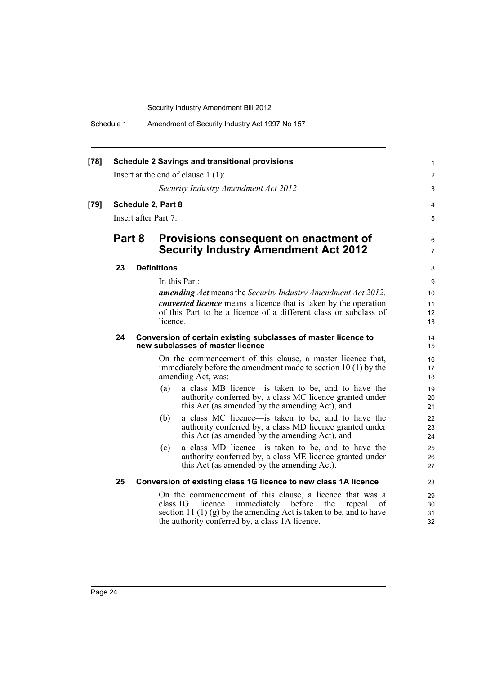Schedule 1 Amendment of Security Industry Act 1997 No 157

| $[78]$ |        | <b>Schedule 2 Savings and transitional provisions</b>                                                                                                                                                                                                           | 1                    |
|--------|--------|-----------------------------------------------------------------------------------------------------------------------------------------------------------------------------------------------------------------------------------------------------------------|----------------------|
|        |        | Insert at the end of clause $1(1)$ :                                                                                                                                                                                                                            | $\overline{2}$       |
|        |        | Security Industry Amendment Act 2012                                                                                                                                                                                                                            | 3                    |
| $[79]$ |        | Schedule 2, Part 8                                                                                                                                                                                                                                              | 4                    |
|        |        | Insert after Part 7:                                                                                                                                                                                                                                            | 5                    |
|        | Part 8 | Provisions consequent on enactment of<br><b>Security Industry Amendment Act 2012</b>                                                                                                                                                                            | 6<br>$\overline{7}$  |
|        | 23     | <b>Definitions</b>                                                                                                                                                                                                                                              | 8                    |
|        |        | In this Part:                                                                                                                                                                                                                                                   | 9                    |
|        |        | <b>amending Act</b> means the Security Industry Amendment Act 2012.                                                                                                                                                                                             | 10                   |
|        |        | <i>converted licence</i> means a licence that is taken by the operation                                                                                                                                                                                         | 11                   |
|        |        | of this Part to be a licence of a different class or subclass of<br>licence.                                                                                                                                                                                    | 12<br>13             |
|        | 24     | Conversion of certain existing subclasses of master licence to<br>new subclasses of master licence                                                                                                                                                              | 14<br>15             |
|        |        | On the commencement of this clause, a master licence that,<br>immediately before the amendment made to section $10(1)$ by the<br>amending Act, was:                                                                                                             | 16<br>17<br>18       |
|        |        | a class MB licence—is taken to be, and to have the<br>(a)<br>authority conferred by, a class MC licence granted under<br>this Act (as amended by the amending Act), and                                                                                         | 19<br>20<br>21       |
|        |        | (b)<br>a class MC licence—is taken to be, and to have the<br>authority conferred by, a class MD licence granted under<br>this Act (as amended by the amending Act), and                                                                                         | 22<br>23<br>24       |
|        |        | a class MD licence—is taken to be, and to have the<br>(c)<br>authority conferred by, a class ME licence granted under<br>this Act (as amended by the amending Act).                                                                                             | 25<br>26<br>27       |
|        | 25     | Conversion of existing class 1G licence to new class 1A licence                                                                                                                                                                                                 | 28                   |
|        |        | On the commencement of this clause, a licence that was a<br>class $1G$<br>licence immediately before<br>the<br>repeal<br><sub>of</sub><br>section 11 (1) (g) by the amending Act is taken to be, and to have<br>the authority conferred by, a class 1A licence. | 29<br>30<br>31<br>32 |
|        |        |                                                                                                                                                                                                                                                                 |                      |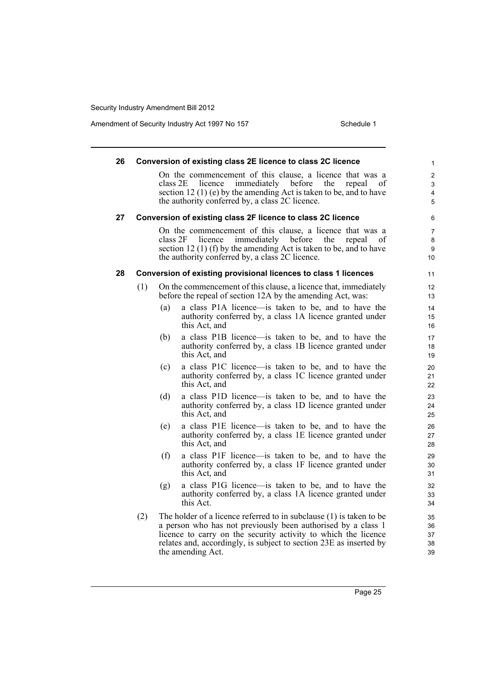| 26 |     | Conversion of existing class 2E licence to class 2C licence                                                                                                                                                                                                                                      | 1                                                      |
|----|-----|--------------------------------------------------------------------------------------------------------------------------------------------------------------------------------------------------------------------------------------------------------------------------------------------------|--------------------------------------------------------|
|    |     | On the commencement of this clause, a licence that was a<br>immediately<br>the<br>class 2E<br>licence<br>before<br>section 12 (1) (e) by the amending Act is taken to be, and to have<br>the authority conferred by, a class 2C licence.                                                         | 2<br>repeal<br>οf<br>3<br>$\overline{\mathbf{4}}$<br>5 |
| 27 |     | Conversion of existing class 2F licence to class 2C licence                                                                                                                                                                                                                                      | 6                                                      |
|    |     | On the commencement of this clause, a licence that was a<br>class 2F<br>immediately<br>before<br>licence<br>the<br>section 12 (1) (f) by the amending Act is taken to be, and to have<br>the authority conferred by, a class 2C licence.                                                         | $\overline{7}$<br>repeal<br>οf<br>8<br>9<br>10         |
| 28 |     | Conversion of existing provisional licences to class 1 licences                                                                                                                                                                                                                                  | 11                                                     |
|    | (1) | On the commencement of this clause, a licence that, immediately<br>before the repeal of section 12A by the amending Act, was:                                                                                                                                                                    | 12<br>13                                               |
|    |     | a class P1A licence—is taken to be, and to have the<br>(a)<br>authority conferred by, a class 1A licence granted under<br>this Act, and                                                                                                                                                          | 14<br>15<br>16                                         |
|    |     | a class P1B licence—is taken to be, and to have the<br>(b)<br>authority conferred by, a class 1B licence granted under<br>this Act, and                                                                                                                                                          | 17<br>18<br>19                                         |
|    |     | a class P1C licence—is taken to be, and to have the<br>(c)<br>authority conferred by, a class 1C licence granted under<br>this Act, and                                                                                                                                                          | 20<br>21<br>22                                         |
|    |     | a class P1D licence—is taken to be, and to have the<br>(d)<br>authority conferred by, a class 1D licence granted under<br>this Act, and                                                                                                                                                          | 23<br>24<br>25                                         |
|    |     | a class P1E licence—is taken to be, and to have the<br>(e)<br>authority conferred by, a class 1E licence granted under<br>this Act, and                                                                                                                                                          | 26<br>27<br>28                                         |
|    |     | a class P1F licence—is taken to be, and to have the<br>(f)<br>authority conferred by, a class 1F licence granted under<br>this Act, and                                                                                                                                                          | 29<br>30<br>31                                         |
|    |     | a class P1G licence—is taken to be, and to have the<br>(g)<br>authority conferred by, a class 1A licence granted under<br>this Act.                                                                                                                                                              | 32<br>33<br>34                                         |
|    | (2) | The holder of a licence referred to in subclause (1) is taken to be<br>a person who has not previously been authorised by a class 1<br>licence to carry on the security activity to which the licence<br>relates and, accordingly, is subject to section 23E as inserted by<br>the amending Act. | 35<br>36<br>37<br>38<br>39                             |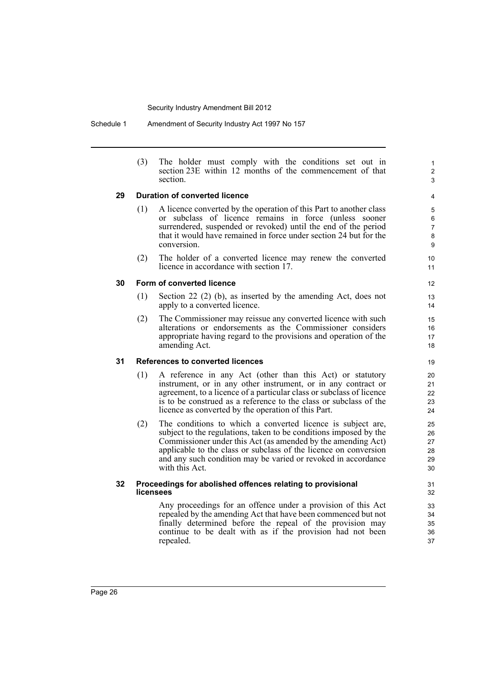Schedule 1 Amendment of Security Industry Act 1997 No 157

(3) The holder must comply with the conditions set out in section 23E within 12 months of the commencement of that section.

1 2 3

### **29 Duration of converted licence**

- (1) A licence converted by the operation of this Part to another class or subclass of licence remains in force (unless sooner surrendered, suspended or revoked) until the end of the period that it would have remained in force under section 24 but for the conversion.
- (2) The holder of a converted licence may renew the converted licence in accordance with section 17.

### **30 Form of converted licence**

- (1) Section 22 (2) (b), as inserted by the amending Act, does not apply to a converted licence.
- (2) The Commissioner may reissue any converted licence with such alterations or endorsements as the Commissioner considers appropriate having regard to the provisions and operation of the amending Act.

### **31 References to converted licences**

- (1) A reference in any Act (other than this Act) or statutory instrument, or in any other instrument, or in any contract or agreement, to a licence of a particular class or subclass of licence is to be construed as a reference to the class or subclass of the licence as converted by the operation of this Part.
- (2) The conditions to which a converted licence is subject are, subject to the regulations, taken to be conditions imposed by the Commissioner under this Act (as amended by the amending Act) applicable to the class or subclass of the licence on conversion and any such condition may be varied or revoked in accordance with this Act.

### **32 Proceedings for abolished offences relating to provisional licensees**

Any proceedings for an offence under a provision of this Act repealed by the amending Act that have been commenced but not finally determined before the repeal of the provision may continue to be dealt with as if the provision had not been repealed.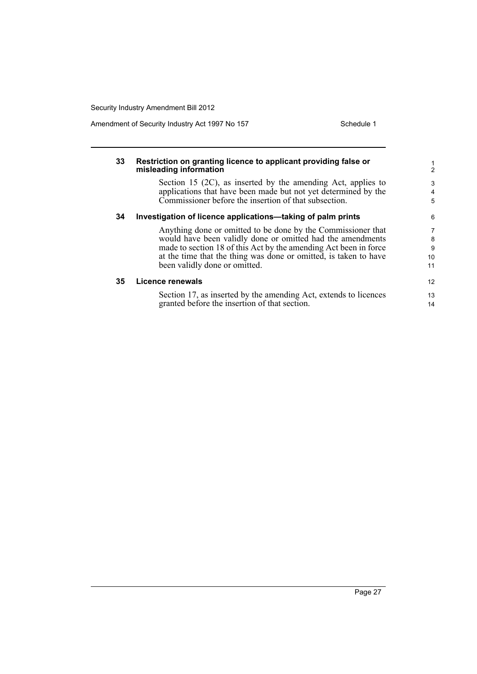| 33 | Restriction on granting licence to applicant providing false or<br>misleading information                                                                                                                                                                                                           | $\mathcal{P}$           |
|----|-----------------------------------------------------------------------------------------------------------------------------------------------------------------------------------------------------------------------------------------------------------------------------------------------------|-------------------------|
|    | Section 15 $(2C)$ , as inserted by the amending Act, applies to<br>applications that have been made but not yet determined by the<br>Commissioner before the insertion of that subsection.                                                                                                          | 3<br>4<br>5             |
| 34 | Investigation of licence applications—taking of palm prints                                                                                                                                                                                                                                         | 6                       |
|    | Anything done or omitted to be done by the Commissioner that<br>would have been validly done or omitted had the amendments<br>made to section 18 of this Act by the amending Act been in force<br>at the time that the thing was done or omitted, is taken to have<br>been validly done or omitted. | 7<br>8<br>9<br>10<br>11 |
| 35 | Licence renewals                                                                                                                                                                                                                                                                                    | 12 <sup>2</sup>         |
|    | Section 17, as inserted by the amending Act, extends to licences<br>granted before the insertion of that section.                                                                                                                                                                                   | 13<br>14                |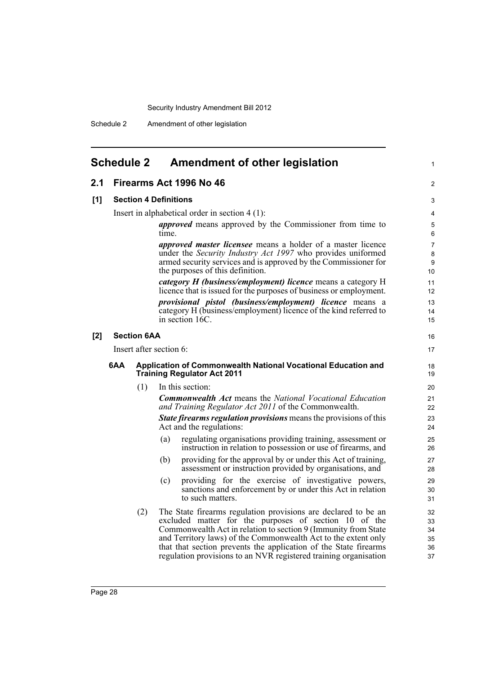Schedule 2 Amendment of other legislation

<span id="page-37-0"></span>

| <b>Schedule 2</b> |                         | <b>Amendment of other legislation</b>                                                                                                                                                                                                                                                                                                                                                               |  |  |  |  |
|-------------------|-------------------------|-----------------------------------------------------------------------------------------------------------------------------------------------------------------------------------------------------------------------------------------------------------------------------------------------------------------------------------------------------------------------------------------------------|--|--|--|--|
| 2.1               |                         | Firearms Act 1996 No 46                                                                                                                                                                                                                                                                                                                                                                             |  |  |  |  |
| [1]               |                         | <b>Section 4 Definitions</b>                                                                                                                                                                                                                                                                                                                                                                        |  |  |  |  |
|                   |                         | Insert in alphabetical order in section $4(1)$ :                                                                                                                                                                                                                                                                                                                                                    |  |  |  |  |
|                   |                         | <i>approved</i> means approved by the Commissioner from time to<br>time.                                                                                                                                                                                                                                                                                                                            |  |  |  |  |
|                   |                         | <i>approved master licensee</i> means a holder of a master licence<br>under the Security Industry Act 1997 who provides uniformed<br>armed security services and is approved by the Commissioner for<br>the purposes of this definition.                                                                                                                                                            |  |  |  |  |
|                   |                         | category H (business/employment) licence means a category H<br>licence that is issued for the purposes of business or employment.                                                                                                                                                                                                                                                                   |  |  |  |  |
|                   |                         | provisional pistol (business/employment) licence means a<br>category H (business/employment) licence of the kind referred to<br>in section 16C.                                                                                                                                                                                                                                                     |  |  |  |  |
| [2]               | <b>Section 6AA</b>      |                                                                                                                                                                                                                                                                                                                                                                                                     |  |  |  |  |
|                   | Insert after section 6: |                                                                                                                                                                                                                                                                                                                                                                                                     |  |  |  |  |
| 6AA               |                         | Application of Commonwealth National Vocational Education and<br><b>Training Regulator Act 2011</b>                                                                                                                                                                                                                                                                                                 |  |  |  |  |
|                   | (1)                     | In this section:                                                                                                                                                                                                                                                                                                                                                                                    |  |  |  |  |
|                   |                         | <b>Commonwealth Act means the National Vocational Education</b><br>and Training Regulator Act 2011 of the Commonwealth.                                                                                                                                                                                                                                                                             |  |  |  |  |
|                   |                         | <b>State firearms regulation provisions</b> means the provisions of this<br>Act and the regulations:                                                                                                                                                                                                                                                                                                |  |  |  |  |
|                   |                         | regulating organisations providing training, assessment or<br>(a)<br>instruction in relation to possession or use of firearms, and                                                                                                                                                                                                                                                                  |  |  |  |  |
|                   |                         | providing for the approval by or under this Act of training,<br>(b)<br>assessment or instruction provided by organisations, and                                                                                                                                                                                                                                                                     |  |  |  |  |
|                   |                         | providing for the exercise of investigative powers,<br>(c)<br>sanctions and enforcement by or under this Act in relation<br>to such matters.                                                                                                                                                                                                                                                        |  |  |  |  |
|                   | (2)                     | The State firearms regulation provisions are declared to be an<br>excluded matter for the purposes of section 10 of the<br>Commonwealth Act in relation to section 9 (Immunity from State<br>and Territory laws) of the Commonwealth Act to the extent only<br>that that section prevents the application of the State firearms<br>regulation provisions to an NVR registered training organisation |  |  |  |  |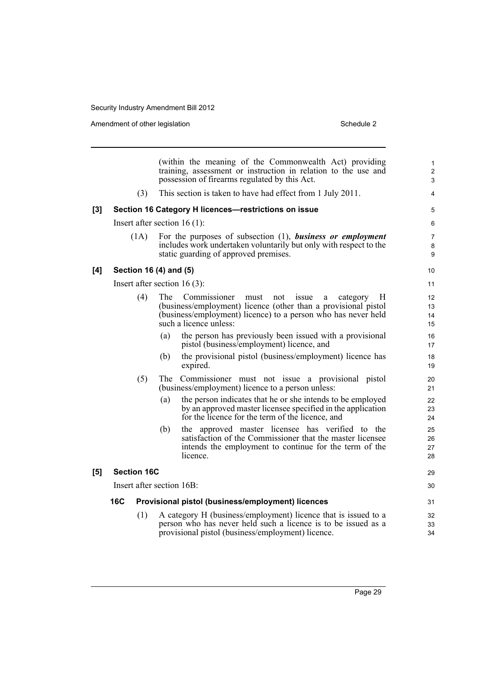Amendment of other legislation Schedule 2

| (within the meaning of the Commonwealth Act) providing<br>training, assessment or instruction in relation to the use and<br>possession of firearms regulated by this Act.                                  | $\mathbf{1}$<br>$\overline{2}$<br>3                                                                                                                                                                                                       |
|------------------------------------------------------------------------------------------------------------------------------------------------------------------------------------------------------------|-------------------------------------------------------------------------------------------------------------------------------------------------------------------------------------------------------------------------------------------|
| This section is taken to have had effect from 1 July 2011.                                                                                                                                                 | 4                                                                                                                                                                                                                                         |
| Section 16 Category H licences-restrictions on issue                                                                                                                                                       | 5                                                                                                                                                                                                                                         |
|                                                                                                                                                                                                            | 6                                                                                                                                                                                                                                         |
| For the purposes of subsection $(1)$ , business or employment<br>includes work undertaken voluntarily but only with respect to the<br>static guarding of approved premises.                                | 7<br>8<br>9                                                                                                                                                                                                                               |
| 10                                                                                                                                                                                                         |                                                                                                                                                                                                                                           |
| 11                                                                                                                                                                                                         |                                                                                                                                                                                                                                           |
| not<br>issue<br>category<br>H<br>12 <sup>2</sup><br>a<br>(business/employment) licence (other than a provisional pistol<br>13<br>(business/employment) licence) to a person who has never held<br>14<br>15 |                                                                                                                                                                                                                                           |
| the person has previously been issued with a provisional<br>16<br>pistol (business/employment) licence, and<br>17                                                                                          |                                                                                                                                                                                                                                           |
| the provisional pistol (business/employment) licence has<br>18<br>19                                                                                                                                       |                                                                                                                                                                                                                                           |
| The Commissioner must not issue a provisional pistol<br>20<br>(business/employment) licence to a person unless:<br>21                                                                                      |                                                                                                                                                                                                                                           |
| the person indicates that he or she intends to be employed<br>22<br>by an approved master licensee specified in the application<br>23<br>for the licence for the term of the licence, and<br>24            |                                                                                                                                                                                                                                           |
| the approved master licensee has verified to the<br>25<br>satisfaction of the Commissioner that the master licensee<br>26<br>intends the employment to continue for the term of the<br>27<br>28            |                                                                                                                                                                                                                                           |
| 29                                                                                                                                                                                                         |                                                                                                                                                                                                                                           |
| 30                                                                                                                                                                                                         |                                                                                                                                                                                                                                           |
| 31                                                                                                                                                                                                         |                                                                                                                                                                                                                                           |
| 32<br>33<br>34                                                                                                                                                                                             |                                                                                                                                                                                                                                           |
|                                                                                                                                                                                                            | Provisional pistol (business/employment) licences<br>A category H (business/employment) licence that is issued to a<br>person who has never held such a licence is to be issued as a<br>provisional pistol (business/employment) licence. |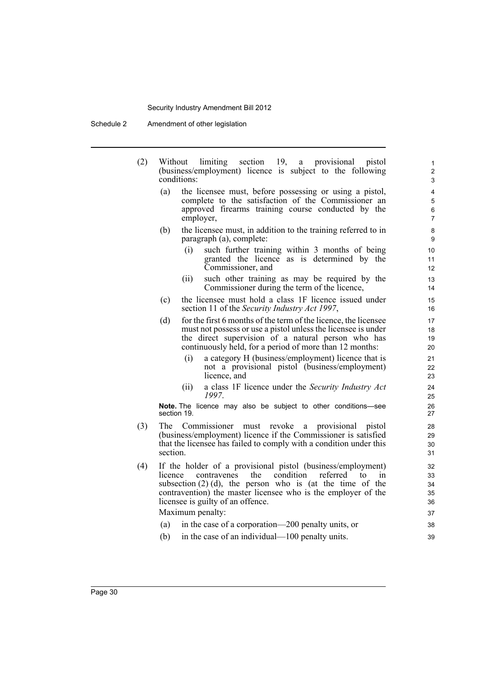- (2) Without limiting section 19, a provisional pistol (business/employment) licence is subject to the following conditions:
	- (a) the licensee must, before possessing or using a pistol, complete to the satisfaction of the Commissioner an approved firearms training course conducted by the employer,
	- (b) the licensee must, in addition to the training referred to in paragraph (a), complete:
		- (i) such further training within 3 months of being granted the licence as is determined by the Commissioner, and

- (ii) such other training as may be required by the Commissioner during the term of the licence,
- (c) the licensee must hold a class 1F licence issued under section 11 of the *Security Industry Act 1997*,
- (d) for the first 6 months of the term of the licence, the licensee must not possess or use a pistol unless the licensee is under the direct supervision of a natural person who has continuously held, for a period of more than 12 months:
	- (i) a category H (business/employment) licence that is not a provisional pistol (business/employment) licence, and
	- (ii) a class 1F licence under the *Security Industry Act 1997*.

**Note.** The licence may also be subject to other conditions—see section 19.

- (3) The Commissioner must revoke a provisional pistol (business/employment) licence if the Commissioner is satisfied that the licensee has failed to comply with a condition under this section.
- (4) If the holder of a provisional pistol (business/employment) licence contravenes the condition referred to in subsection  $(2)$  (d), the person who is (at the time of the contravention) the master licensee who is the employer of the licensee is guilty of an offence. Maximum penalty:
	- (a) in the case of a corporation—200 penalty units, or
	- (b) in the case of an individual—100 penalty units.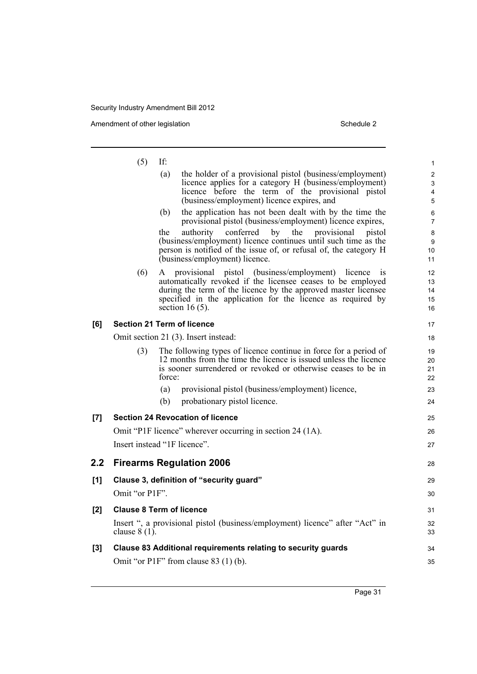Amendment of other legislation Schedule 2

|       | (5)             | If:                                                                                                                                                                                                                                                                            | 1                                      |
|-------|-----------------|--------------------------------------------------------------------------------------------------------------------------------------------------------------------------------------------------------------------------------------------------------------------------------|----------------------------------------|
|       |                 | the holder of a provisional pistol (business/employment)<br>(a)<br>licence applies for a category H (business/employment)<br>licence before the term of the provisional pistol<br>(business/employment) licence expires, and                                                   | $\overline{\mathbf{c}}$<br>3<br>4<br>5 |
|       |                 | the application has not been dealt with by the time the<br>(b)<br>provisional pistol (business/employment) licence expires,                                                                                                                                                    | 6<br>$\overline{7}$                    |
|       |                 | conferred<br>by the<br>authority<br>provisional<br>the<br>pistol<br>(business/employment) licence continues until such time as the<br>person is notified of the issue of, or refusal of, the category H<br>(business/employment) licence.                                      | 8<br>9<br>10<br>11                     |
|       | (6)             | provisional pistol (business/employment) licence is<br>A<br>automatically revoked if the licensee ceases to be employed<br>during the term of the licence by the approved master licensee<br>specified in the application for the licence as required by<br>section 16 $(5)$ . | 12<br>13<br>14<br>15<br>16             |
| [6]   |                 | <b>Section 21 Term of licence</b>                                                                                                                                                                                                                                              | 17                                     |
|       |                 | Omit section 21 (3). Insert instead:                                                                                                                                                                                                                                           | 18                                     |
|       | (3)             | The following types of licence continue in force for a period of<br>12 months from the time the licence is issued unless the licence<br>is sooner surrendered or revoked or otherwise ceases to be in<br>force:                                                                | 19<br>20<br>21<br>22                   |
|       |                 | provisional pistol (business/employment) licence,<br>(a)                                                                                                                                                                                                                       | 23                                     |
|       |                 | (b)<br>probationary pistol licence.                                                                                                                                                                                                                                            | 24                                     |
| $[7]$ |                 | <b>Section 24 Revocation of licence</b>                                                                                                                                                                                                                                        | 25                                     |
|       |                 | Omit "P1F licence" wherever occurring in section 24 (1A).                                                                                                                                                                                                                      | 26                                     |
|       |                 | Insert instead "1F licence".                                                                                                                                                                                                                                                   | 27                                     |
| 2.2   |                 | <b>Firearms Regulation 2006</b>                                                                                                                                                                                                                                                | 28                                     |
| [1]   |                 | Clause 3, definition of "security guard"                                                                                                                                                                                                                                       | 29                                     |
|       | Omit "or P1F".  |                                                                                                                                                                                                                                                                                | 30                                     |
| [2]   |                 | <b>Clause 8 Term of licence</b>                                                                                                                                                                                                                                                | 31                                     |
|       | clause $8(1)$ . | Insert ", a provisional pistol (business/employment) licence" after "Act" in                                                                                                                                                                                                   | 32<br>33                               |
| $[3]$ |                 | Clause 83 Additional requirements relating to security guards                                                                                                                                                                                                                  | 34                                     |
|       |                 | Omit "or P1F" from clause 83 (1) (b).                                                                                                                                                                                                                                          | 35                                     |
|       |                 |                                                                                                                                                                                                                                                                                |                                        |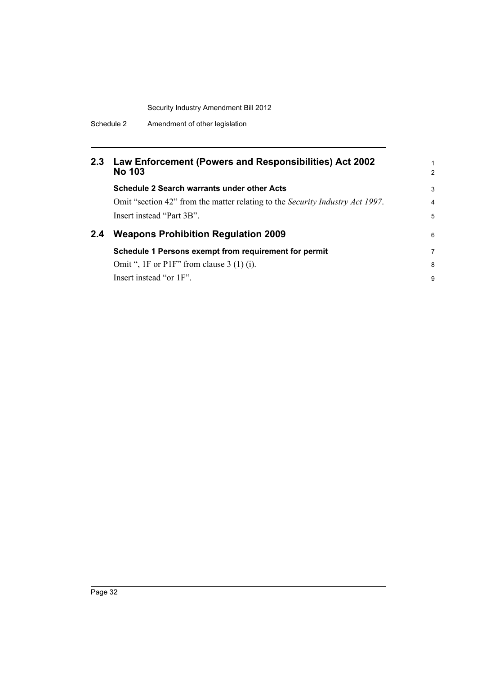# **2.3 Law Enforcement (Powers and Responsibilities) Act 2002 No 103**

|     | <b>Schedule 2 Search warrants under other Acts</b>                                    | 3 |
|-----|---------------------------------------------------------------------------------------|---|
|     | Omit "section 42" from the matter relating to the <i>Security Industry Act 1997</i> . | 4 |
|     | Insert instead "Part 3B".                                                             | 5 |
| 2.4 | <b>Weapons Prohibition Regulation 2009</b>                                            |   |
|     | Schedule 1 Persons exempt from requirement for permit                                 |   |

1 2

8 9

# **Schedule 1 Persons exempt from requirement for permit** Omit ", 1F or P1F" from clause 3 (1) (i).

Insert instead "or 1F".